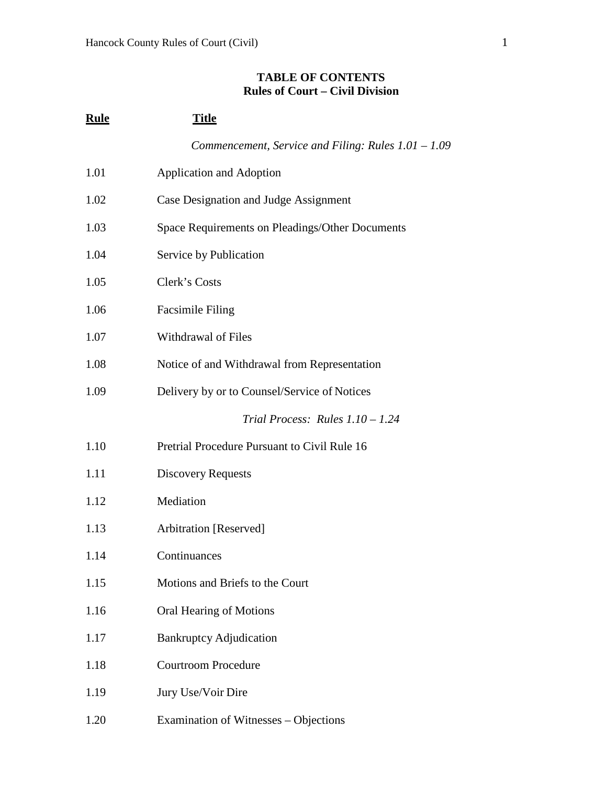## **TABLE OF CONTENTS Rules of Court – Civil Division**

| <b>Rule</b> | <b>Title</b>                                          |
|-------------|-------------------------------------------------------|
|             | Commencement, Service and Filing: Rules $1.01 - 1.09$ |
| 1.01        | <b>Application and Adoption</b>                       |
| 1.02        | Case Designation and Judge Assignment                 |
| 1.03        | Space Requirements on Pleadings/Other Documents       |
| 1.04        | Service by Publication                                |
| 1.05        | Clerk's Costs                                         |
| 1.06        | <b>Facsimile Filing</b>                               |
| 1.07        | Withdrawal of Files                                   |
| 1.08        | Notice of and Withdrawal from Representation          |
| 1.09        | Delivery by or to Counsel/Service of Notices          |
|             | Trial Process: Rules $1.10 - 1.24$                    |
| 1.10        | Pretrial Procedure Pursuant to Civil Rule 16          |
| 1.11        | <b>Discovery Requests</b>                             |
| 1.12        | Mediation                                             |
| 1.13        | Arbitration [Reserved]                                |
| 1.14        | Continuances                                          |
| 1.15        | Motions and Briefs to the Court                       |
| 1.16        | Oral Hearing of Motions                               |
| 1.17        | <b>Bankruptcy Adjudication</b>                        |
| 1.18        | <b>Courtroom Procedure</b>                            |
| 1.19        | Jury Use/Voir Dire                                    |
| 1.20        | Examination of Witnesses – Objections                 |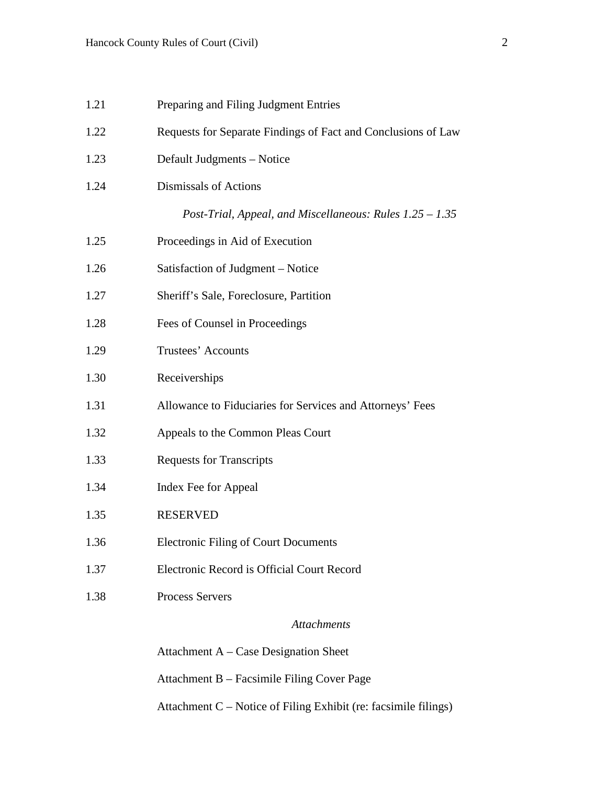| 1.21 | Preparing and Filing Judgment Entries                         |
|------|---------------------------------------------------------------|
| 1.22 | Requests for Separate Findings of Fact and Conclusions of Law |
| 1.23 | Default Judgments - Notice                                    |
| 1.24 | Dismissals of Actions                                         |
|      | Post-Trial, Appeal, and Miscellaneous: Rules $1.25 - 1.35$    |
| 1.25 | Proceedings in Aid of Execution                               |
| 1.26 | Satisfaction of Judgment – Notice                             |
| 1.27 | Sheriff's Sale, Foreclosure, Partition                        |
| 1.28 | Fees of Counsel in Proceedings                                |
| 1.29 | Trustees' Accounts                                            |
| 1.30 | Receiverships                                                 |
| 1.31 | Allowance to Fiduciaries for Services and Attorneys' Fees     |
| 1.32 | Appeals to the Common Pleas Court                             |
| 1.33 | <b>Requests for Transcripts</b>                               |
| 1.34 | Index Fee for Appeal                                          |
| 1.35 | <b>RESERVED</b>                                               |
| 1.36 | <b>Electronic Filing of Court Documents</b>                   |
| 1.37 | Electronic Record is Official Court Record                    |
| 1.38 | <b>Process Servers</b>                                        |
|      | <b>Attachments</b>                                            |
|      | Attachment $A - Case$ Designation Sheet                       |
|      | Attachment B - Facsimile Filing Cover Page                    |

Attachment C – Notice of Filing Exhibit (re: facsimile filings)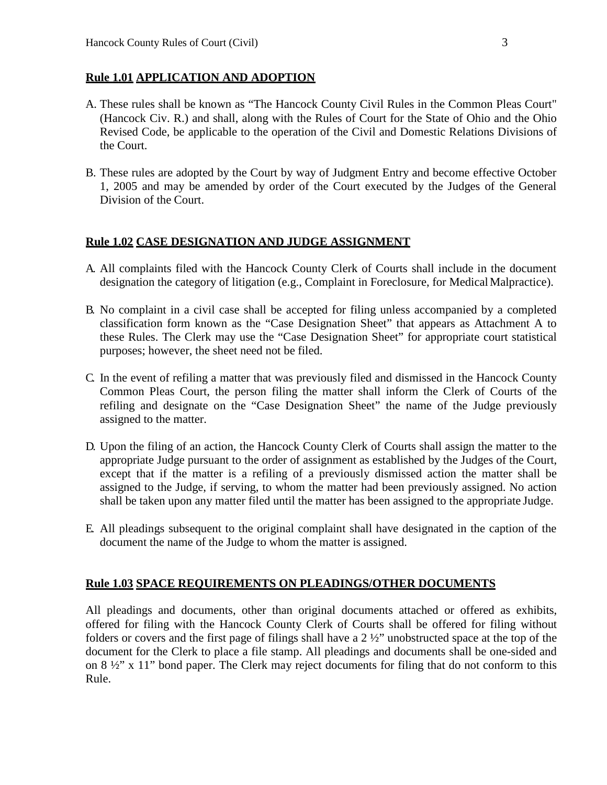#### **Rule 1.01 APPLICATION AND ADOPTION**

- A. These rules shall be known as "The Hancock County Civil Rules in the Common Pleas Court" (Hancock Civ. R.) and shall, along with the Rules of Court for the State of Ohio and the Ohio Revised Code, be applicable to the operation of the Civil and Domestic Relations Divisions of the Court.
- B. These rules are adopted by the Court by way of Judgment Entry and become effective October 1, 2005 and may be amended by order of the Court executed by the Judges of the General Division of the Court.

#### **Rule 1.02 CASE DESIGNATION AND JUDGE ASSIGNMENT**

- A. All complaints filed with the Hancock County Clerk of Courts shall include in the document designation the category of litigation (e.g., Complaint in Foreclosure, for Medical Malpractice).
- B. No complaint in a civil case shall be accepted for filing unless accompanied by a completed classification form known as the "Case Designation Sheet" that appears as Attachment A to these Rules. The Clerk may use the "Case Designation Sheet" for appropriate court statistical purposes; however, the sheet need not be filed.
- C. In the event of refiling a matter that was previously filed and dismissed in the Hancock County Common Pleas Court, the person filing the matter shall inform the Clerk of Courts of the refiling and designate on the "Case Designation Sheet" the name of the Judge previously assigned to the matter.
- D. Upon the filing of an action, the Hancock County Clerk of Courts shall assign the matter to the appropriate Judge pursuant to the order of assignment as established by the Judges of the Court, except that if the matter is a refiling of a previously dismissed action the matter shall be assigned to the Judge, if serving, to whom the matter had been previously assigned. No action shall be taken upon any matter filed until the matter has been assigned to the appropriate Judge.
- E. All pleadings subsequent to the original complaint shall have designated in the caption of the document the name of the Judge to whom the matter is assigned.

### **Rule 1.03 SPACE REQUIREMENTS ON PLEADINGS/OTHER DOCUMENTS**

All pleadings and documents, other than original documents attached or offered as exhibits, offered for filing with the Hancock County Clerk of Courts shall be offered for filing without folders or covers and the first page of filings shall have a 2 ½" unobstructed space at the top of the document for the Clerk to place a file stamp. All pleadings and documents shall be one-sided and on 8 ½" x 11" bond paper. The Clerk may reject documents for filing that do not conform to this Rule.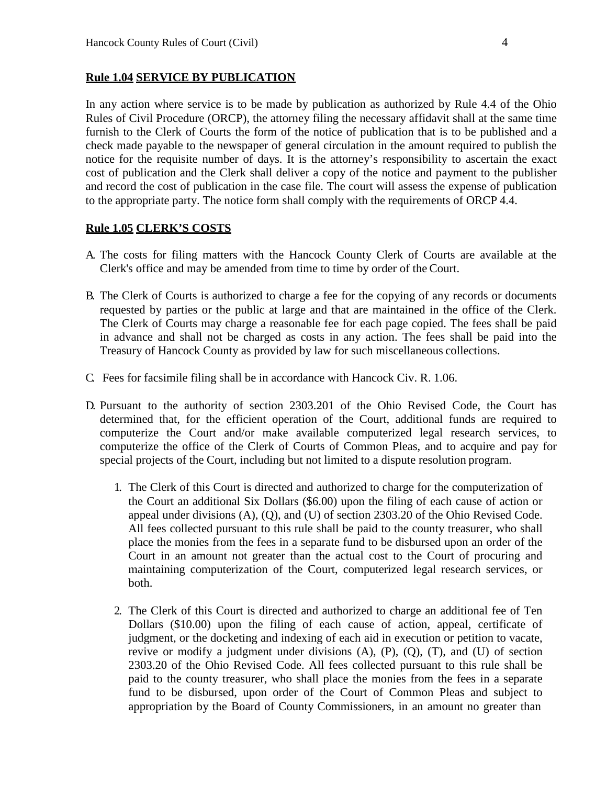#### **Rule 1.04 SERVICE BY PUBLICATION**

In any action where service is to be made by publication as authorized by Rule 4.4 of the Ohio Rules of Civil Procedure (ORCP), the attorney filing the necessary affidavit shall at the same time furnish to the Clerk of Courts the form of the notice of publication that is to be published and a check made payable to the newspaper of general circulation in the amount required to publish the notice for the requisite number of days. It is the attorney's responsibility to ascertain the exact cost of publication and the Clerk shall deliver a copy of the notice and payment to the publisher and record the cost of publication in the case file. The court will assess the expense of publication to the appropriate party. The notice form shall comply with the requirements of ORCP 4.4.

#### **Rule 1.05 CLERK'S COSTS**

- A. The costs for filing matters with the Hancock County Clerk of Courts are available at the Clerk's office and may be amended from time to time by order of the Court.
- B. The Clerk of Courts is authorized to charge a fee for the copying of any records or documents requested by parties or the public at large and that are maintained in the office of the Clerk. The Clerk of Courts may charge a reasonable fee for each page copied. The fees shall be paid in advance and shall not be charged as costs in any action. The fees shall be paid into the Treasury of Hancock County as provided by law for such miscellaneous collections.
- C. Fees for facsimile filing shall be in accordance with Hancock Civ. R. 1.06.
- D. Pursuant to the authority of section 2303.201 of the Ohio Revised Code, the Court has determined that, for the efficient operation of the Court, additional funds are required to computerize the Court and/or make available computerized legal research services, to computerize the office of the Clerk of Courts of Common Pleas, and to acquire and pay for special projects of the Court, including but not limited to a dispute resolution program.
	- 1. The Clerk of this Court is directed and authorized to charge for the computerization of the Court an additional Six Dollars (\$6.00) upon the filing of each cause of action or appeal under divisions (A), (Q), and (U) of section 2303.20 of the Ohio Revised Code. All fees collected pursuant to this rule shall be paid to the county treasurer, who shall place the monies from the fees in a separate fund to be disbursed upon an order of the Court in an amount not greater than the actual cost to the Court of procuring and maintaining computerization of the Court, computerized legal research services, or both.
	- 2. The Clerk of this Court is directed and authorized to charge an additional fee of Ten Dollars (\$10.00) upon the filing of each cause of action, appeal, certificate of judgment, or the docketing and indexing of each aid in execution or petition to vacate, revive or modify a judgment under divisions (A), (P), (Q), (T), and (U) of section 2303.20 of the Ohio Revised Code. All fees collected pursuant to this rule shall be paid to the county treasurer, who shall place the monies from the fees in a separate fund to be disbursed, upon order of the Court of Common Pleas and subject to appropriation by the Board of County Commissioners, in an amount no greater than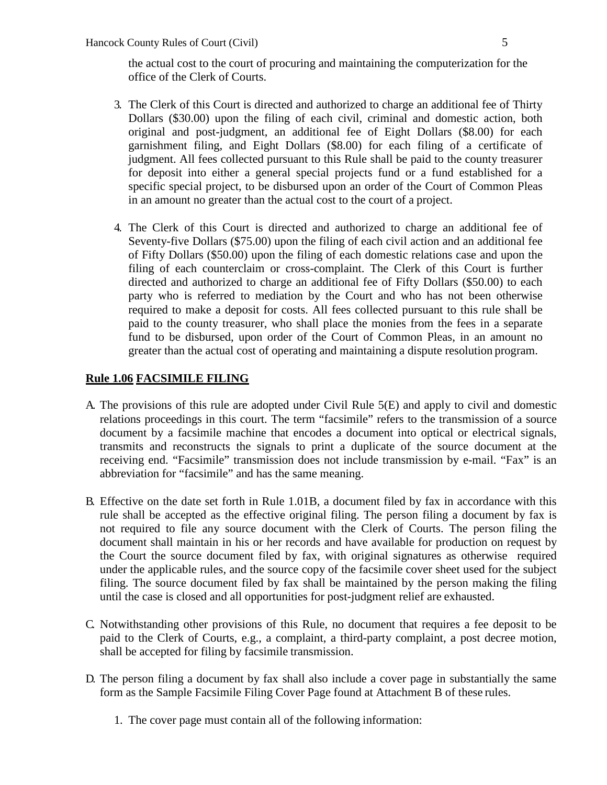the actual cost to the court of procuring and maintaining the computerization for the office of the Clerk of Courts.

- 3. The Clerk of this Court is directed and authorized to charge an additional fee of Thirty Dollars (\$30.00) upon the filing of each civil, criminal and domestic action, both original and post-judgment, an additional fee of Eight Dollars (\$8.00) for each garnishment filing, and Eight Dollars (\$8.00) for each filing of a certificate of judgment. All fees collected pursuant to this Rule shall be paid to the county treasurer for deposit into either a general special projects fund or a fund established for a specific special project, to be disbursed upon an order of the Court of Common Pleas in an amount no greater than the actual cost to the court of a project.
- 4. The Clerk of this Court is directed and authorized to charge an additional fee of Seventy-five Dollars (\$75.00) upon the filing of each civil action and an additional fee of Fifty Dollars (\$50.00) upon the filing of each domestic relations case and upon the filing of each counterclaim or cross-complaint. The Clerk of this Court is further directed and authorized to charge an additional fee of Fifty Dollars (\$50.00) to each party who is referred to mediation by the Court and who has not been otherwise required to make a deposit for costs. All fees collected pursuant to this rule shall be paid to the county treasurer, who shall place the monies from the fees in a separate fund to be disbursed, upon order of the Court of Common Pleas, in an amount no greater than the actual cost of operating and maintaining a dispute resolution program.

### **Rule 1.06 FACSIMILE FILING**

- A. The provisions of this rule are adopted under Civil Rule 5(E) and apply to civil and domestic relations proceedings in this court. The term "facsimile" refers to the transmission of a source document by a facsimile machine that encodes a document into optical or electrical signals, transmits and reconstructs the signals to print a duplicate of the source document at the receiving end. "Facsimile" transmission does not include transmission by e-mail. "Fax" is an abbreviation for "facsimile" and has the same meaning.
- B. Effective on the date set forth in Rule 1.01B, a document filed by fax in accordance with this rule shall be accepted as the effective original filing. The person filing a document by fax is not required to file any source document with the Clerk of Courts. The person filing the document shall maintain in his or her records and have available for production on request by the Court the source document filed by fax, with original signatures as otherwise required under the applicable rules, and the source copy of the facsimile cover sheet used for the subject filing. The source document filed by fax shall be maintained by the person making the filing until the case is closed and all opportunities for post-judgment relief are exhausted.
- C. Notwithstanding other provisions of this Rule, no document that requires a fee deposit to be paid to the Clerk of Courts, e.g., a complaint, a third-party complaint, a post decree motion, shall be accepted for filing by facsimile transmission.
- D. The person filing a document by fax shall also include a cover page in substantially the same form as the Sample Facsimile Filing Cover Page found at Attachment B of these rules.
	- 1. The cover page must contain all of the following information: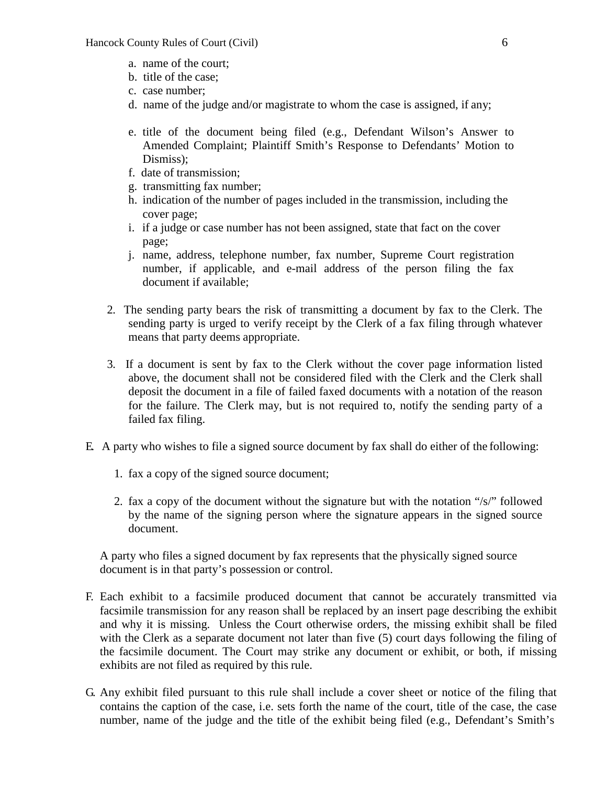- a. name of the court;
- b. title of the case;
- c. case number;
- d. name of the judge and/or magistrate to whom the case is assigned, if any;
- e. title of the document being filed (e.g., Defendant Wilson's Answer to Amended Complaint; Plaintiff Smith's Response to Defendants' Motion to Dismiss);
- f. date of transmission;
- g. transmitting fax number;
- h. indication of the number of pages included in the transmission, including the cover page;
- i. if a judge or case number has not been assigned, state that fact on the cover page;
- j. name, address, telephone number, fax number, Supreme Court registration number, if applicable, and e-mail address of the person filing the fax document if available;
- 2. The sending party bears the risk of transmitting a document by fax to the Clerk. The sending party is urged to verify receipt by the Clerk of a fax filing through whatever means that party deems appropriate.
- 3. If a document is sent by fax to the Clerk without the cover page information listed above, the document shall not be considered filed with the Clerk and the Clerk shall deposit the document in a file of failed faxed documents with a notation of the reason for the failure. The Clerk may, but is not required to, notify the sending party of a failed fax filing.
- E. A party who wishes to file a signed source document by fax shall do either of the following:
	- 1. fax a copy of the signed source document;
	- 2. fax a copy of the document without the signature but with the notation "/s/" followed by the name of the signing person where the signature appears in the signed source document.

A party who files a signed document by fax represents that the physically signed source document is in that party's possession or control.

- F. Each exhibit to a facsimile produced document that cannot be accurately transmitted via facsimile transmission for any reason shall be replaced by an insert page describing the exhibit and why it is missing. Unless the Court otherwise orders, the missing exhibit shall be filed with the Clerk as a separate document not later than five (5) court days following the filing of the facsimile document. The Court may strike any document or exhibit, or both, if missing exhibits are not filed as required by this rule.
- G. Any exhibit filed pursuant to this rule shall include a cover sheet or notice of the filing that contains the caption of the case, i.e. sets forth the name of the court, title of the case, the case number, name of the judge and the title of the exhibit being filed (e.g., Defendant's Smith's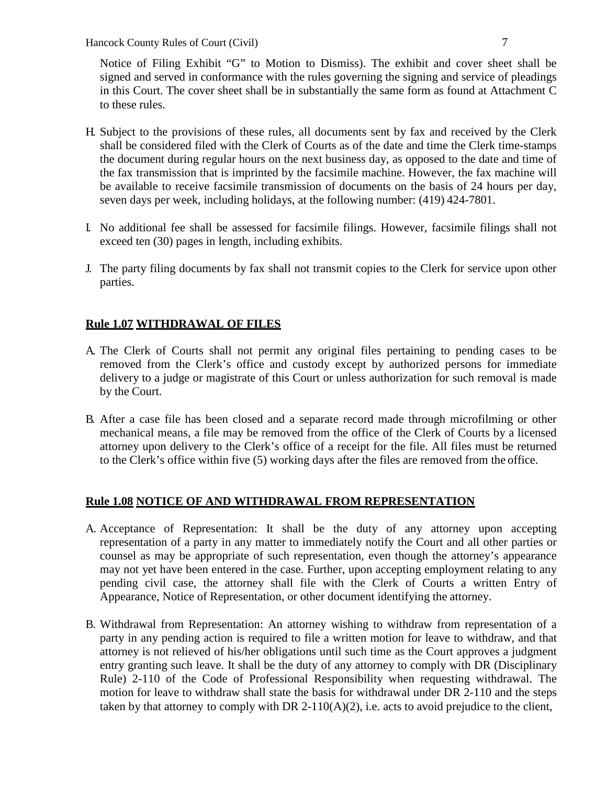Notice of Filing Exhibit "G" to Motion to Dismiss). The exhibit and cover sheet shall be signed and served in conformance with the rules governing the signing and service of pleadings in this Court. The cover sheet shall be in substantially the same form as found at Attachment C to these rules.

- H. Subject to the provisions of these rules, all documents sent by fax and received by the Clerk shall be considered filed with the Clerk of Courts as of the date and time the Clerk time-stamps the document during regular hours on the next business day, as opposed to the date and time of the fax transmission that is imprinted by the facsimile machine. However, the fax machine will be available to receive facsimile transmission of documents on the basis of 24 hours per day, seven days per week, including holidays, at the following number: (419) 424-7801.
- I. No additional fee shall be assessed for facsimile filings. However, facsimile filings shall not exceed ten (30) pages in length, including exhibits.
- J. The party filing documents by fax shall not transmit copies to the Clerk for service upon other parties.

### **Rule 1.07 WITHDRAWAL OF FILES**

- A. The Clerk of Courts shall not permit any original files pertaining to pending cases to be removed from the Clerk's office and custody except by authorized persons for immediate delivery to a judge or magistrate of this Court or unless authorization for such removal is made by the Court.
- B. After a case file has been closed and a separate record made through microfilming or other mechanical means, a file may be removed from the office of the Clerk of Courts by a licensed attorney upon delivery to the Clerk's office of a receipt for the file. All files must be returned to the Clerk's office within five (5) working days after the files are removed from the office.

### **Rule 1.08 NOTICE OF AND WITHDRAWAL FROM REPRESENTATION**

- A. Acceptance of Representation: It shall be the duty of any attorney upon accepting representation of a party in any matter to immediately notify the Court and all other parties or counsel as may be appropriate of such representation, even though the attorney's appearance may not yet have been entered in the case. Further, upon accepting employment relating to any pending civil case, the attorney shall file with the Clerk of Courts a written Entry of Appearance, Notice of Representation, or other document identifying the attorney.
- B. Withdrawal from Representation: An attorney wishing to withdraw from representation of a party in any pending action is required to file a written motion for leave to withdraw, and that attorney is not relieved of his/her obligations until such time as the Court approves a judgment entry granting such leave. It shall be the duty of any attorney to comply with DR (Disciplinary Rule) 2-110 of the Code of Professional Responsibility when requesting withdrawal. The motion for leave to withdraw shall state the basis for withdrawal under DR 2-110 and the steps taken by that attorney to comply with DR 2-110( $A$ )(2), i.e. acts to avoid prejudice to the client,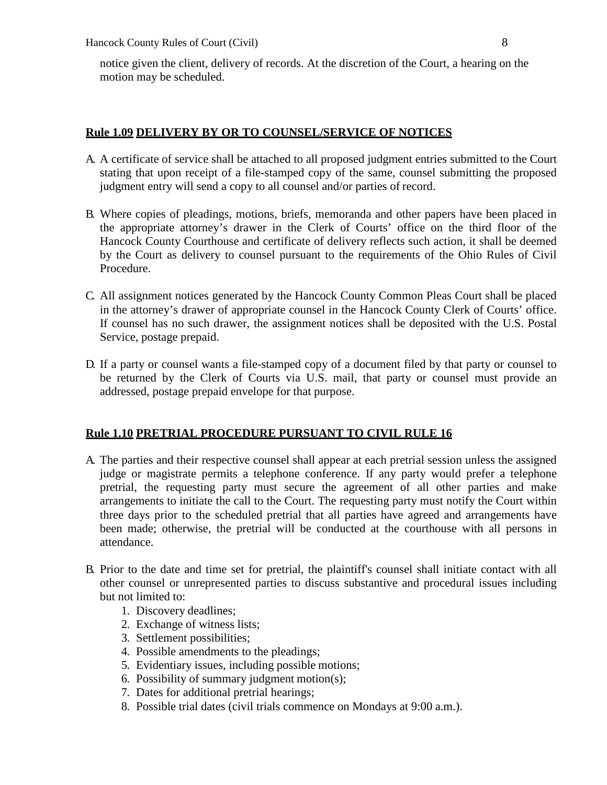notice given the client, delivery of records. At the discretion of the Court, a hearing on the motion may be scheduled.

#### **Rule 1.09 DELIVERY BY OR TO COUNSEL/SERVICE OF NOTICES**

- A. A certificate of service shall be attached to all proposed judgment entries submitted to the Court stating that upon receipt of a file-stamped copy of the same, counsel submitting the proposed judgment entry will send a copy to all counsel and/or parties of record.
- B. Where copies of pleadings, motions, briefs, memoranda and other papers have been placed in the appropriate attorney's drawer in the Clerk of Courts' office on the third floor of the Hancock County Courthouse and certificate of delivery reflects such action, it shall be deemed by the Court as delivery to counsel pursuant to the requirements of the Ohio Rules of Civil Procedure.
- C. All assignment notices generated by the Hancock County Common Pleas Court shall be placed in the attorney's drawer of appropriate counsel in the Hancock County Clerk of Courts' office. If counsel has no such drawer, the assignment notices shall be deposited with the U.S. Postal Service, postage prepaid.
- D. If a party or counsel wants a file-stamped copy of a document filed by that party or counsel to be returned by the Clerk of Courts via U.S. mail, that party or counsel must provide an addressed, postage prepaid envelope for that purpose.

#### **Rule 1.10 PRETRIAL PROCEDURE PURSUANT TO CIVIL RULE 16**

- A. The parties and their respective counsel shall appear at each pretrial session unless the assigned judge or magistrate permits a telephone conference. If any party would prefer a telephone pretrial, the requesting party must secure the agreement of all other parties and make arrangements to initiate the call to the Court. The requesting party must notify the Court within three days prior to the scheduled pretrial that all parties have agreed and arrangements have been made; otherwise, the pretrial will be conducted at the courthouse with all persons in attendance.
- B. Prior to the date and time set for pretrial, the plaintiff's counsel shall initiate contact with all other counsel or unrepresented parties to discuss substantive and procedural issues including but not limited to:
	- 1. Discovery deadlines;
	- 2. Exchange of witness lists;
	- 3. Settlement possibilities;
	- 4. Possible amendments to the pleadings;
	- 5. Evidentiary issues, including possible motions;
	- 6. Possibility of summary judgment motion(s);
	- 7. Dates for additional pretrial hearings;
	- 8. Possible trial dates (civil trials commence on Mondays at 9:00 a.m.).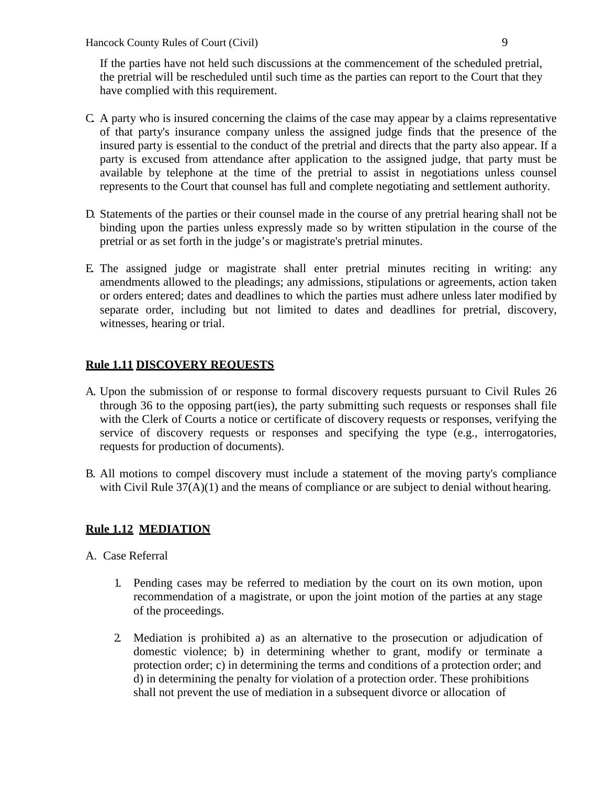If the parties have not held such discussions at the commencement of the scheduled pretrial, the pretrial will be rescheduled until such time as the parties can report to the Court that they have complied with this requirement.

- C. A party who is insured concerning the claims of the case may appear by a claims representative of that party's insurance company unless the assigned judge finds that the presence of the insured party is essential to the conduct of the pretrial and directs that the party also appear. If a party is excused from attendance after application to the assigned judge, that party must be available by telephone at the time of the pretrial to assist in negotiations unless counsel represents to the Court that counsel has full and complete negotiating and settlement authority.
- D. Statements of the parties or their counsel made in the course of any pretrial hearing shall not be binding upon the parties unless expressly made so by written stipulation in the course of the pretrial or as set forth in the judge's or magistrate's pretrial minutes.
- E. The assigned judge or magistrate shall enter pretrial minutes reciting in writing: any amendments allowed to the pleadings; any admissions, stipulations or agreements, action taken or orders entered; dates and deadlines to which the parties must adhere unless later modified by separate order, including but not limited to dates and deadlines for pretrial, discovery, witnesses, hearing or trial.

### **Rule 1.11 DISCOVERY REQUESTS**

- A. Upon the submission of or response to formal discovery requests pursuant to Civil Rules 26 through 36 to the opposing part(ies), the party submitting such requests or responses shall file with the Clerk of Courts a notice or certificate of discovery requests or responses, verifying the service of discovery requests or responses and specifying the type (e.g., interrogatories, requests for production of documents).
- B. All motions to compel discovery must include a statement of the moving party's compliance with Civil Rule 37(A)(1) and the means of compliance or are subject to denial without hearing.

### **Rule 1.12 MEDIATION**

A. Case Referral

- 1. Pending cases may be referred to mediation by the court on its own motion, upon recommendation of a magistrate, or upon the joint motion of the parties at any stage of the proceedings.
- 2. Mediation is prohibited a) as an alternative to the prosecution or adjudication of domestic violence; b) in determining whether to grant, modify or terminate a protection order; c) in determining the terms and conditions of a protection order; and d) in determining the penalty for violation of a protection order. These prohibitions shall not prevent the use of mediation in a subsequent divorce or allocation of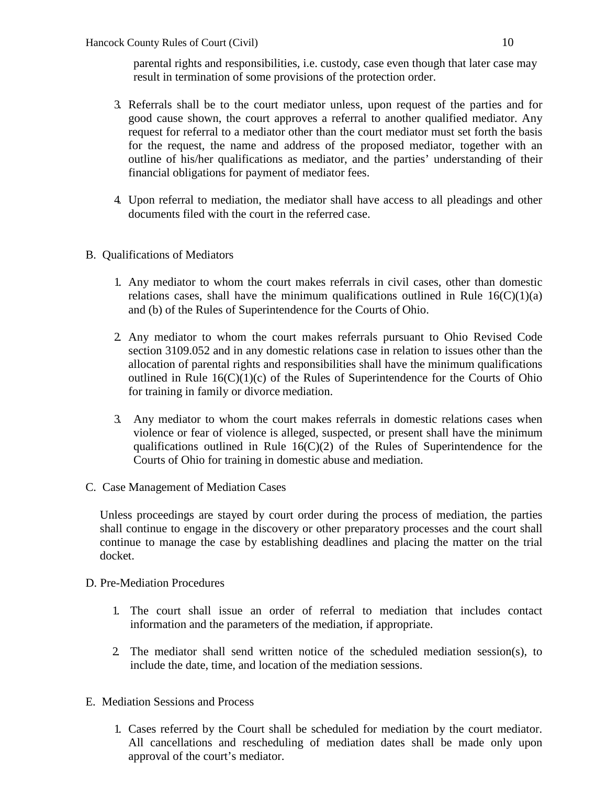parental rights and responsibilities, i.e. custody, case even though that later case may result in termination of some provisions of the protection order.

- 3. Referrals shall be to the court mediator unless, upon request of the parties and for good cause shown, the court approves a referral to another qualified mediator. Any request for referral to a mediator other than the court mediator must set forth the basis for the request, the name and address of the proposed mediator, together with an outline of his/her qualifications as mediator, and the parties' understanding of their financial obligations for payment of mediator fees.
- 4. Upon referral to mediation, the mediator shall have access to all pleadings and other documents filed with the court in the referred case.
- B. Qualifications of Mediators
	- 1. Any mediator to whom the court makes referrals in civil cases, other than domestic relations cases, shall have the minimum qualifications outlined in Rule  $16(C)(1)(a)$ and (b) of the Rules of Superintendence for the Courts of Ohio.
	- 2. Any mediator to whom the court makes referrals pursuant to Ohio Revised Code section 3109.052 and in any domestic relations case in relation to issues other than the allocation of parental rights and responsibilities shall have the minimum qualifications outlined in Rule  $16(C)(1)(c)$  of the Rules of Superintendence for the Courts of Ohio for training in family or divorce mediation.
	- 3. Any mediator to whom the court makes referrals in domestic relations cases when violence or fear of violence is alleged, suspected, or present shall have the minimum qualifications outlined in Rule  $16(C)(2)$  of the Rules of Superintendence for the Courts of Ohio for training in domestic abuse and mediation.
- C. Case Management of Mediation Cases

Unless proceedings are stayed by court order during the process of mediation, the parties shall continue to engage in the discovery or other preparatory processes and the court shall continue to manage the case by establishing deadlines and placing the matter on the trial docket.

- D. Pre-Mediation Procedures
	- 1. The court shall issue an order of referral to mediation that includes contact information and the parameters of the mediation, if appropriate.
	- 2. The mediator shall send written notice of the scheduled mediation session(s), to include the date, time, and location of the mediation sessions.
- E. Mediation Sessions and Process
	- 1. Cases referred by the Court shall be scheduled for mediation by the court mediator. All cancellations and rescheduling of mediation dates shall be made only upon approval of the court's mediator.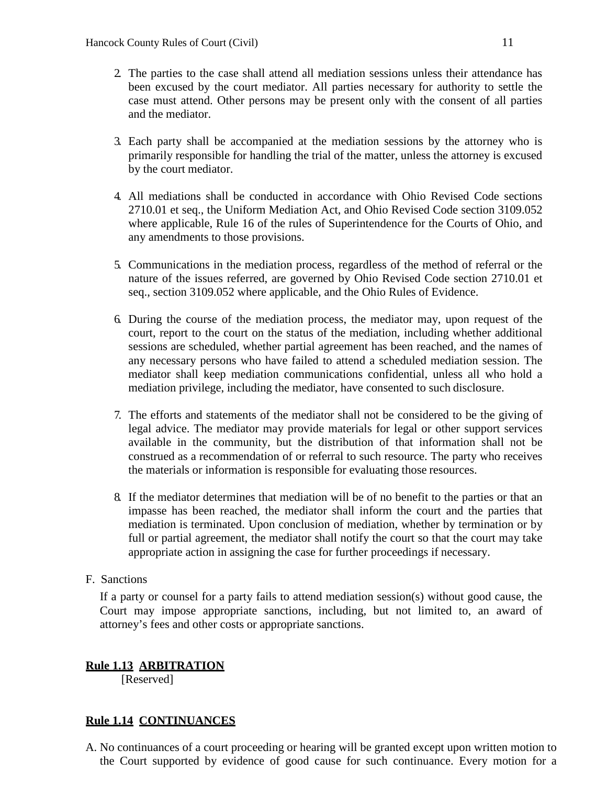- 2. The parties to the case shall attend all mediation sessions unless their attendance has been excused by the court mediator. All parties necessary for authority to settle the case must attend. Other persons may be present only with the consent of all parties and the mediator.
- 3. Each party shall be accompanied at the mediation sessions by the attorney who is primarily responsible for handling the trial of the matter, unless the attorney is excused by the court mediator.
- 4. All mediations shall be conducted in accordance with Ohio Revised Code sections 2710.01 et seq., the Uniform Mediation Act, and Ohio Revised Code section 3109.052 where applicable, Rule 16 of the rules of Superintendence for the Courts of Ohio, and any amendments to those provisions.
- 5. Communications in the mediation process, regardless of the method of referral or the nature of the issues referred, are governed by Ohio Revised Code section 2710.01 et seq., section 3109.052 where applicable, and the Ohio Rules of Evidence.
- 6. During the course of the mediation process, the mediator may, upon request of the court, report to the court on the status of the mediation, including whether additional sessions are scheduled, whether partial agreement has been reached, and the names of any necessary persons who have failed to attend a scheduled mediation session. The mediator shall keep mediation communications confidential, unless all who hold a mediation privilege, including the mediator, have consented to such disclosure.
- 7. The efforts and statements of the mediator shall not be considered to be the giving of legal advice. The mediator may provide materials for legal or other support services available in the community, but the distribution of that information shall not be construed as a recommendation of or referral to such resource. The party who receives the materials or information is responsible for evaluating those resources.
- 8. If the mediator determines that mediation will be of no benefit to the parties or that an impasse has been reached, the mediator shall inform the court and the parties that mediation is terminated. Upon conclusion of mediation, whether by termination or by full or partial agreement, the mediator shall notify the court so that the court may take appropriate action in assigning the case for further proceedings if necessary.

### F. Sanctions

If a party or counsel for a party fails to attend mediation session(s) without good cause, the Court may impose appropriate sanctions, including, but not limited to, an award of attorney's fees and other costs or appropriate sanctions.

## **Rule 1.13 ARBITRATION**

[Reserved]

### **Rule 1.14 CONTINUANCES**

A. No continuances of a court proceeding or hearing will be granted except upon written motion to the Court supported by evidence of good cause for such continuance. Every motion for a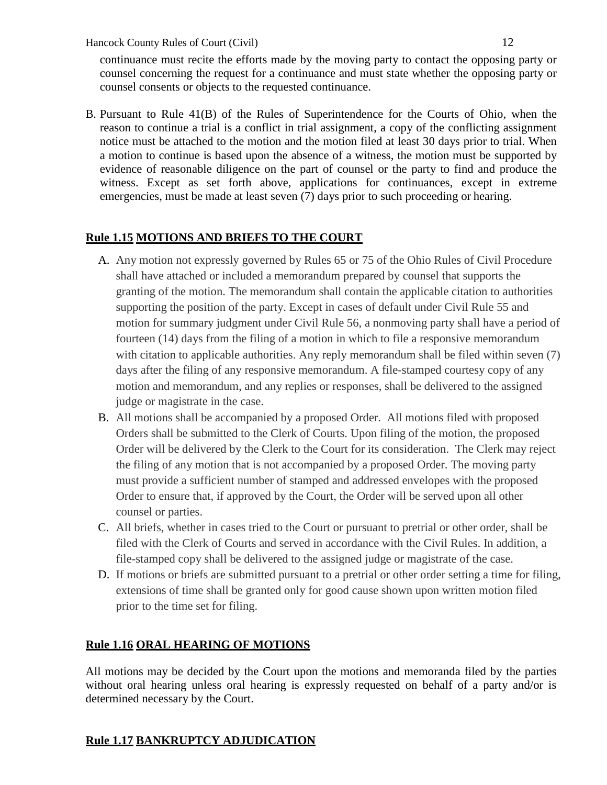continuance must recite the efforts made by the moving party to contact the opposing party or counsel concerning the request for a continuance and must state whether the opposing party or counsel consents or objects to the requested continuance.

B. Pursuant to Rule 41(B) of the Rules of Superintendence for the Courts of Ohio, when the reason to continue a trial is a conflict in trial assignment, a copy of the conflicting assignment notice must be attached to the motion and the motion filed at least 30 days prior to trial. When a motion to continue is based upon the absence of a witness, the motion must be supported by evidence of reasonable diligence on the part of counsel or the party to find and produce the witness. Except as set forth above, applications for continuances, except in extreme emergencies, must be made at least seven (7) days prior to such proceeding or hearing.

## **Rule 1.15 MOTIONS AND BRIEFS TO THE COURT**

- A. Any motion not expressly governed by Rules 65 or 75 of the Ohio Rules of Civil Procedure shall have attached or included a memorandum prepared by counsel that supports the granting of the motion. The memorandum shall contain the applicable citation to authorities supporting the position of the party. Except in cases of default under Civil Rule 55 and motion for summary judgment under Civil Rule 56, a nonmoving party shall have a period of fourteen (14) days from the filing of a motion in which to file a responsive memorandum with citation to applicable authorities. Any reply memorandum shall be filed within seven (7) days after the filing of any responsive memorandum. A file-stamped courtesy copy of any motion and memorandum, and any replies or responses, shall be delivered to the assigned judge or magistrate in the case.
- B. All motions shall be accompanied by a proposed Order. All motions filed with proposed Orders shall be submitted to the Clerk of Courts. Upon filing of the motion, the proposed Order will be delivered by the Clerk to the Court for its consideration. The Clerk may reject the filing of any motion that is not accompanied by a proposed Order. The moving party must provide a sufficient number of stamped and addressed envelopes with the proposed Order to ensure that, if approved by the Court, the Order will be served upon all other counsel or parties.
- C. All briefs, whether in cases tried to the Court or pursuant to pretrial or other order, shall be filed with the Clerk of Courts and served in accordance with the Civil Rules. In addition, a file-stamped copy shall be delivered to the assigned judge or magistrate of the case.
- D. If motions or briefs are submitted pursuant to a pretrial or other order setting a time for filing, extensions of time shall be granted only for good cause shown upon written motion filed prior to the time set for filing.

## **Rule 1.16 ORAL HEARING OF MOTIONS**

All motions may be decided by the Court upon the motions and memoranda filed by the parties without oral hearing unless oral hearing is expressly requested on behalf of a party and/or is determined necessary by the Court.

## **Rule 1.17 BANKRUPTCY ADJUDICATION**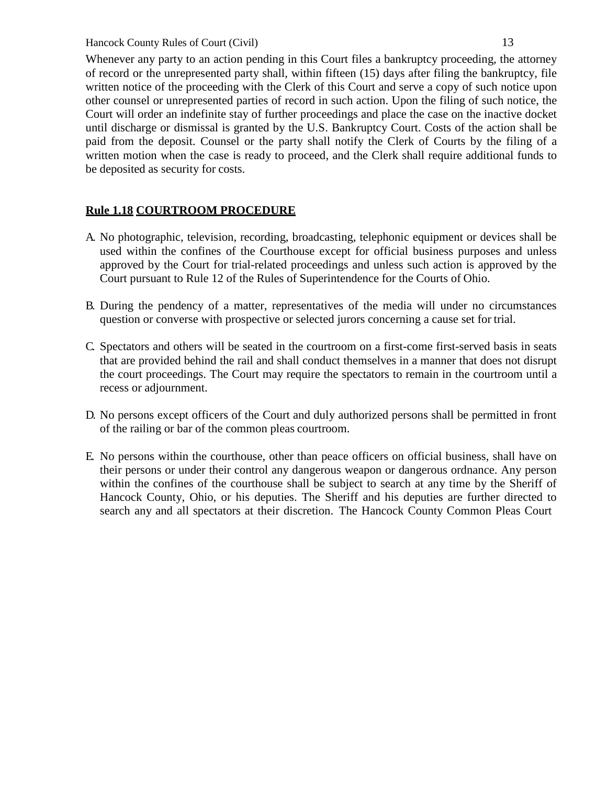Whenever any party to an action pending in this Court files a bankruptcy proceeding, the attorney of record or the unrepresented party shall, within fifteen (15) days after filing the bankruptcy, file written notice of the proceeding with the Clerk of this Court and serve a copy of such notice upon other counsel or unrepresented parties of record in such action. Upon the filing of such notice, the Court will order an indefinite stay of further proceedings and place the case on the inactive docket until discharge or dismissal is granted by the U.S. Bankruptcy Court. Costs of the action shall be paid from the deposit. Counsel or the party shall notify the Clerk of Courts by the filing of a written motion when the case is ready to proceed, and the Clerk shall require additional funds to be deposited as security for costs.

## **Rule 1.18 COURTROOM PROCEDURE**

- A. No photographic, television, recording, broadcasting, telephonic equipment or devices shall be used within the confines of the Courthouse except for official business purposes and unless approved by the Court for trial-related proceedings and unless such action is approved by the Court pursuant to Rule 12 of the Rules of Superintendence for the Courts of Ohio.
- B. During the pendency of a matter, representatives of the media will under no circumstances question or converse with prospective or selected jurors concerning a cause set for trial.
- C. Spectators and others will be seated in the courtroom on a first-come first-served basis in seats that are provided behind the rail and shall conduct themselves in a manner that does not disrupt the court proceedings. The Court may require the spectators to remain in the courtroom until a recess or adjournment.
- D. No persons except officers of the Court and duly authorized persons shall be permitted in front of the railing or bar of the common pleas courtroom.
- E. No persons within the courthouse, other than peace officers on official business, shall have on their persons or under their control any dangerous weapon or dangerous ordnance. Any person within the confines of the courthouse shall be subject to search at any time by the Sheriff of Hancock County, Ohio, or his deputies. The Sheriff and his deputies are further directed to search any and all spectators at their discretion. The Hancock County Common Pleas Court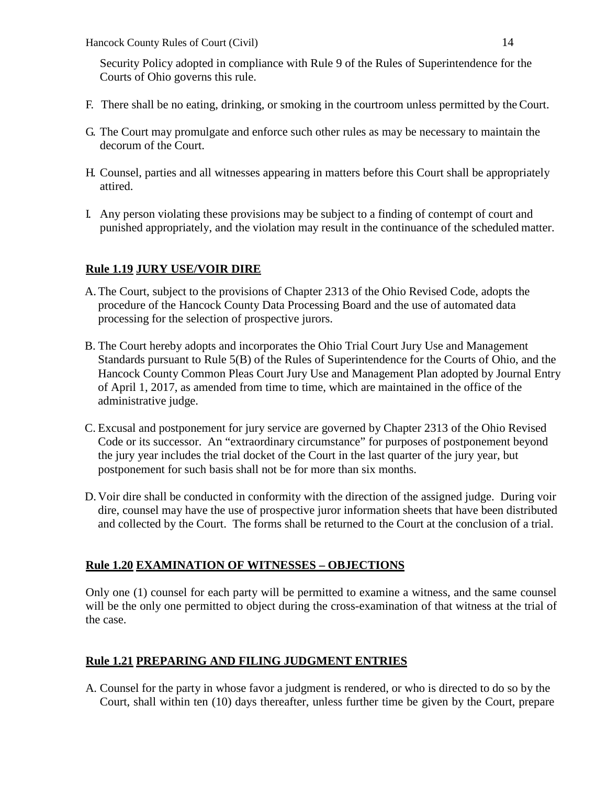Security Policy adopted in compliance with Rule 9 of the Rules of Superintendence for the Courts of Ohio governs this rule.

- F. There shall be no eating, drinking, or smoking in the courtroom unless permitted by theCourt.
- G. The Court may promulgate and enforce such other rules as may be necessary to maintain the decorum of the Court.
- H. Counsel, parties and all witnesses appearing in matters before this Court shall be appropriately attired.
- I. Any person violating these provisions may be subject to a finding of contempt of court and punished appropriately, and the violation may result in the continuance of the scheduled matter.

## **Rule 1.19 JURY USE/VOIR DIRE**

- A.The Court, subject to the provisions of Chapter 2313 of the Ohio Revised Code, adopts the procedure of the Hancock County Data Processing Board and the use of automated data processing for the selection of prospective jurors.
- B. The Court hereby adopts and incorporates the Ohio Trial Court Jury Use and Management Standards pursuant to Rule 5(B) of the Rules of Superintendence for the Courts of Ohio, and the Hancock County Common Pleas Court Jury Use and Management Plan adopted by Journal Entry of April 1, 2017, as amended from time to time, which are maintained in the office of the administrative judge.
- C. Excusal and postponement for jury service are governed by Chapter 2313 of the Ohio Revised Code or its successor. An "extraordinary circumstance" for purposes of postponement beyond the jury year includes the trial docket of the Court in the last quarter of the jury year, but postponement for such basis shall not be for more than six months.
- D. Voir dire shall be conducted in conformity with the direction of the assigned judge. During voir dire, counsel may have the use of prospective juror information sheets that have been distributed and collected by the Court. The forms shall be returned to the Court at the conclusion of a trial.

## **Rule 1.20 EXAMINATION OF WITNESSES – OBJECTIONS**

Only one (1) counsel for each party will be permitted to examine a witness, and the same counsel will be the only one permitted to object during the cross-examination of that witness at the trial of the case.

## **Rule 1.21 PREPARING AND FILING JUDGMENT ENTRIES**

A. Counsel for the party in whose favor a judgment is rendered, or who is directed to do so by the Court, shall within ten (10) days thereafter, unless further time be given by the Court, prepare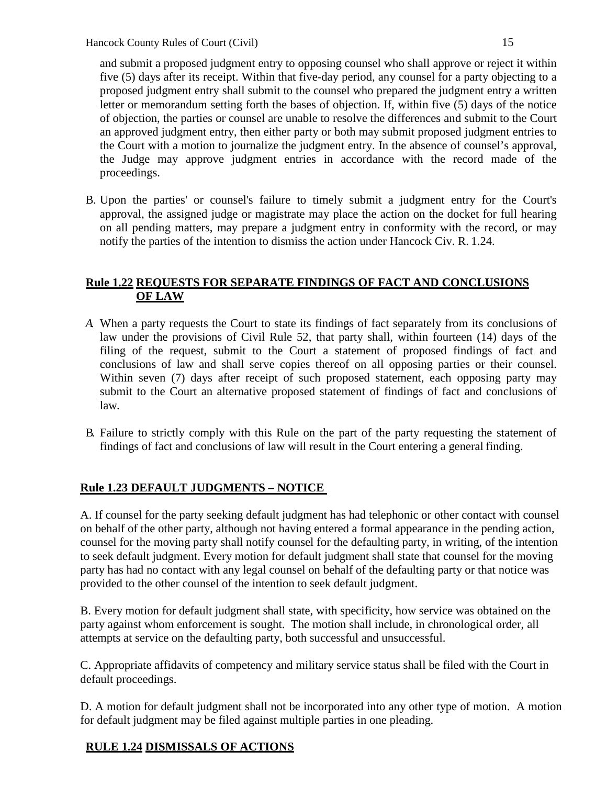and submit a proposed judgment entry to opposing counsel who shall approve or reject it within five (5) days after its receipt. Within that five-day period, any counsel for a party objecting to a proposed judgment entry shall submit to the counsel who prepared the judgment entry a written letter or memorandum setting forth the bases of objection. If, within five (5) days of the notice of objection, the parties or counsel are unable to resolve the differences and submit to the Court an approved judgment entry, then either party or both may submit proposed judgment entries to the Court with a motion to journalize the judgment entry. In the absence of counsel's approval, the Judge may approve judgment entries in accordance with the record made of the proceedings.

B. Upon the parties' or counsel's failure to timely submit a judgment entry for the Court's approval, the assigned judge or magistrate may place the action on the docket for full hearing on all pending matters, may prepare a judgment entry in conformity with the record, or may notify the parties of the intention to dismiss the action under Hancock Civ. R. 1.24.

## **Rule 1.22 REQUESTS FOR SEPARATE FINDINGS OF FACT AND CONCLUSIONS OF LAW**

- *A.* When a party requests the Court to state its findings of fact separately from its conclusions of law under the provisions of Civil Rule 52, that party shall, within fourteen (14) days of the filing of the request, submit to the Court a statement of proposed findings of fact and conclusions of law and shall serve copies thereof on all opposing parties or their counsel. Within seven (7) days after receipt of such proposed statement, each opposing party may submit to the Court an alternative proposed statement of findings of fact and conclusions of law*.*
- B. Failure to strictly comply with this Rule on the part of the party requesting the statement of findings of fact and conclusions of law will result in the Court entering a general finding.

## **Rule 1.23 DEFAULT JUDGMENTS – NOTICE**

A. If counsel for the party seeking default judgment has had telephonic or other contact with counsel on behalf of the other party, although not having entered a formal appearance in the pending action, counsel for the moving party shall notify counsel for the defaulting party, in writing, of the intention to seek default judgment. Every motion for default judgment shall state that counsel for the moving party has had no contact with any legal counsel on behalf of the defaulting party or that notice was provided to the other counsel of the intention to seek default judgment.

B. Every motion for default judgment shall state, with specificity, how service was obtained on the party against whom enforcement is sought. The motion shall include, in chronological order, all attempts at service on the defaulting party, both successful and unsuccessful.

C. Appropriate affidavits of competency and military service status shall be filed with the Court in default proceedings.

D. A motion for default judgment shall not be incorporated into any other type of motion. A motion for default judgment may be filed against multiple parties in one pleading.

### **RULE 1.24 DISMISSALS OF ACTIONS**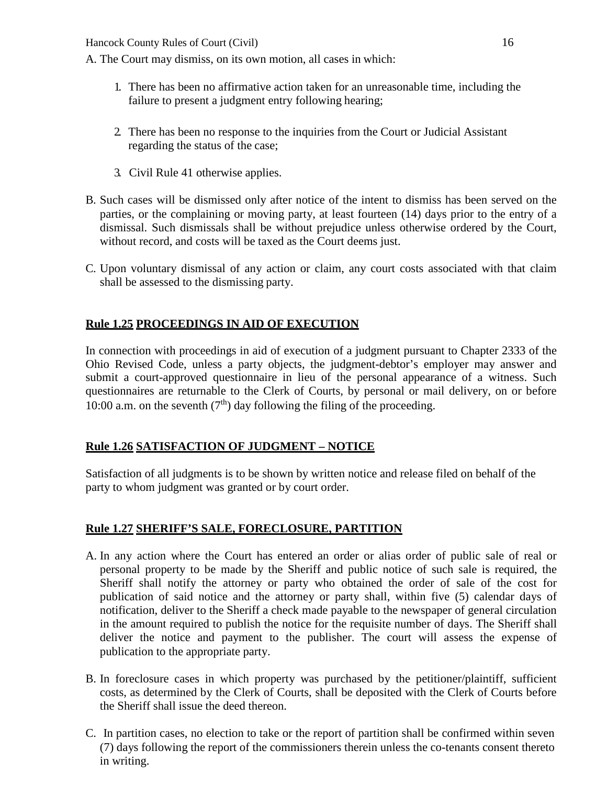A. The Court may dismiss, on its own motion, all cases in which:

- 1. There has been no affirmative action taken for an unreasonable time, including the failure to present a judgment entry following hearing;
- 2. There has been no response to the inquiries from the Court or Judicial Assistant regarding the status of the case;
- 3. Civil Rule 41 otherwise applies.
- B. Such cases will be dismissed only after notice of the intent to dismiss has been served on the parties, or the complaining or moving party, at least fourteen (14) days prior to the entry of a dismissal. Such dismissals shall be without prejudice unless otherwise ordered by the Court, without record, and costs will be taxed as the Court deems just.
- C. Upon voluntary dismissal of any action or claim, any court costs associated with that claim shall be assessed to the dismissing party.

## **Rule 1.25 PROCEEDINGS IN AID OF EXECUTION**

In connection with proceedings in aid of execution of a judgment pursuant to Chapter 2333 of the Ohio Revised Code, unless a party objects, the judgment-debtor's employer may answer and submit a court-approved questionnaire in lieu of the personal appearance of a witness. Such questionnaires are returnable to the Clerk of Courts, by personal or mail delivery, on or before 10:00 a.m. on the seventh  $(7<sup>th</sup>)$  day following the filing of the proceeding.

## **Rule 1.26 SATISFACTION OF JUDGMENT – NOTICE**

Satisfaction of all judgments is to be shown by written notice and release filed on behalf of the party to whom judgment was granted or by court order.

### **Rule 1.27 SHERIFF'S SALE, FORECLOSURE, PARTITION**

- A. In any action where the Court has entered an order or alias order of public sale of real or personal property to be made by the Sheriff and public notice of such sale is required, the Sheriff shall notify the attorney or party who obtained the order of sale of the cost for publication of said notice and the attorney or party shall, within five (5) calendar days of notification, deliver to the Sheriff a check made payable to the newspaper of general circulation in the amount required to publish the notice for the requisite number of days. The Sheriff shall deliver the notice and payment to the publisher. The court will assess the expense of publication to the appropriate party.
- B. In foreclosure cases in which property was purchased by the petitioner/plaintiff, sufficient costs, as determined by the Clerk of Courts, shall be deposited with the Clerk of Courts before the Sheriff shall issue the deed thereon.
- C. In partition cases, no election to take or the report of partition shall be confirmed within seven (7) days following the report of the commissioners therein unless the co-tenants consent thereto in writing.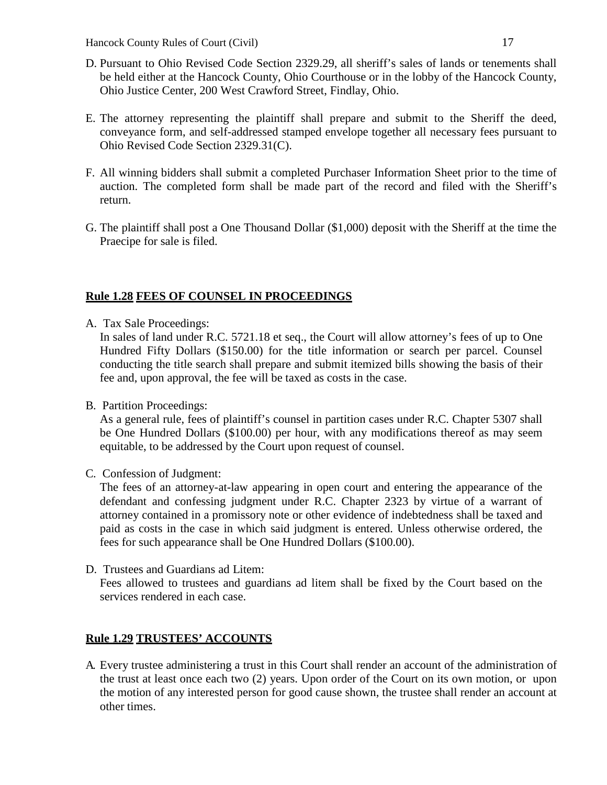- D. Pursuant to Ohio Revised Code Section 2329.29, all sheriff's sales of lands or tenements shall be held either at the Hancock County, Ohio Courthouse or in the lobby of the Hancock County, Ohio Justice Center, 200 West Crawford Street, Findlay, Ohio.
- E. The attorney representing the plaintiff shall prepare and submit to the Sheriff the deed, conveyance form, and self-addressed stamped envelope together all necessary fees pursuant to Ohio Revised Code Section 2329.31(C).
- F. All winning bidders shall submit a completed Purchaser Information Sheet prior to the time of auction. The completed form shall be made part of the record and filed with the Sheriff's return.
- G. The plaintiff shall post a One Thousand Dollar (\$1,000) deposit with the Sheriff at the time the Praecipe for sale is filed.

#### **Rule 1.28 FEES OF COUNSEL IN PROCEEDINGS**

A. Tax Sale Proceedings:

In sales of land under R.C. 5721.18 et seq., the Court will allow attorney's fees of up to One Hundred Fifty Dollars (\$150.00) for the title information or search per parcel. Counsel conducting the title search shall prepare and submit itemized bills showing the basis of their fee and, upon approval, the fee will be taxed as costs in the case.

B. Partition Proceedings:

As a general rule, fees of plaintiff's counsel in partition cases under R.C. Chapter 5307 shall be One Hundred Dollars (\$100.00) per hour, with any modifications thereof as may seem equitable, to be addressed by the Court upon request of counsel.

C. Confession of Judgment:

The fees of an attorney-at-law appearing in open court and entering the appearance of the defendant and confessing judgment under R.C. Chapter 2323 by virtue of a warrant of attorney contained in a promissory note or other evidence of indebtedness shall be taxed and paid as costs in the case in which said judgment is entered. Unless otherwise ordered, the fees for such appearance shall be One Hundred Dollars (\$100.00).

D. Trustees and Guardians ad Litem:

Fees allowed to trustees and guardians ad litem shall be fixed by the Court based on the services rendered in each case.

### **Rule 1.29 TRUSTEES' ACCOUNTS**

A. Every trustee administering a trust in this Court shall render an account of the administration of the trust at least once each two (2) years. Upon order of the Court on its own motion, or upon the motion of any interested person for good cause shown, the trustee shall render an account at other times.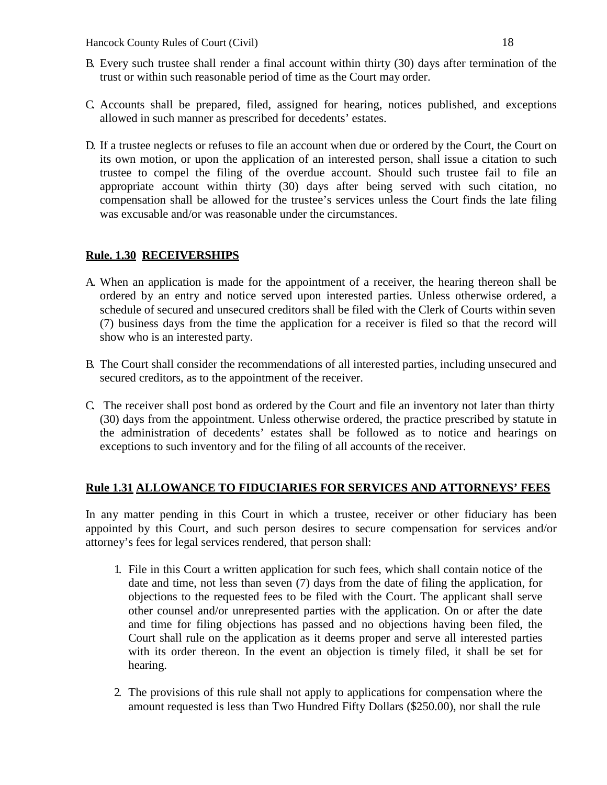- B. Every such trustee shall render a final account within thirty (30) days after termination of the trust or within such reasonable period of time as the Court may order.
- C. Accounts shall be prepared, filed, assigned for hearing, notices published, and exceptions allowed in such manner as prescribed for decedents' estates.
- D. If a trustee neglects or refuses to file an account when due or ordered by the Court, the Court on its own motion, or upon the application of an interested person, shall issue a citation to such trustee to compel the filing of the overdue account. Should such trustee fail to file an appropriate account within thirty (30) days after being served with such citation, no compensation shall be allowed for the trustee's services unless the Court finds the late filing was excusable and/or was reasonable under the circumstances.

### **Rule. 1.30 RECEIVERSHIPS**

- A. When an application is made for the appointment of a receiver, the hearing thereon shall be ordered by an entry and notice served upon interested parties. Unless otherwise ordered, a schedule of secured and unsecured creditors shall be filed with the Clerk of Courts within seven (7) business days from the time the application for a receiver is filed so that the record will show who is an interested party.
- B. The Court shall consider the recommendations of all interested parties, including unsecured and secured creditors, as to the appointment of the receiver.
- C. The receiver shall post bond as ordered by the Court and file an inventory not later than thirty (30) days from the appointment. Unless otherwise ordered, the practice prescribed by statute in the administration of decedents' estates shall be followed as to notice and hearings on exceptions to such inventory and for the filing of all accounts of the receiver.

#### **Rule 1.31 ALLOWANCE TO FIDUCIARIES FOR SERVICES AND ATTORNEYS' FEES**

In any matter pending in this Court in which a trustee, receiver or other fiduciary has been appointed by this Court, and such person desires to secure compensation for services and/or attorney's fees for legal services rendered, that person shall:

- 1. File in this Court a written application for such fees, which shall contain notice of the date and time, not less than seven (7) days from the date of filing the application, for objections to the requested fees to be filed with the Court. The applicant shall serve other counsel and/or unrepresented parties with the application. On or after the date and time for filing objections has passed and no objections having been filed, the Court shall rule on the application as it deems proper and serve all interested parties with its order thereon. In the event an objection is timely filed, it shall be set for hearing.
- 2. The provisions of this rule shall not apply to applications for compensation where the amount requested is less than Two Hundred Fifty Dollars (\$250.00), nor shall the rule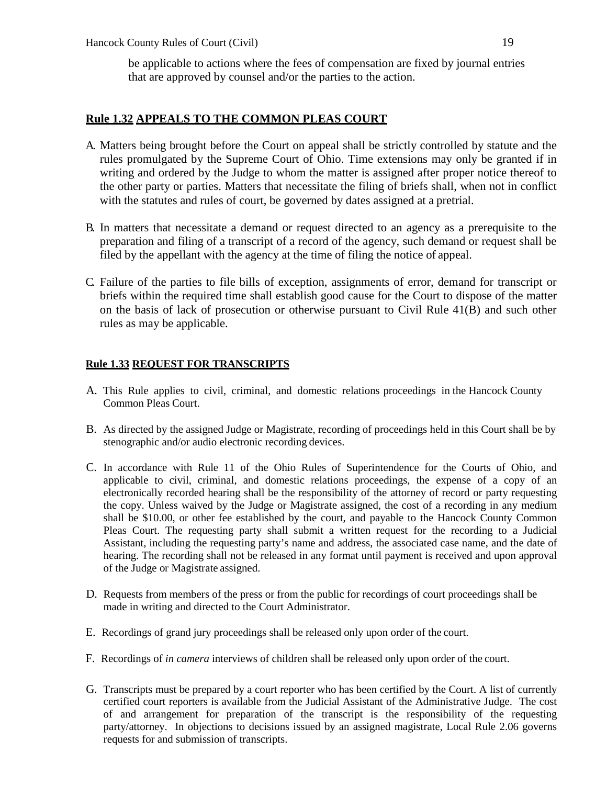be applicable to actions where the fees of compensation are fixed by journal entries that are approved by counsel and/or the parties to the action.

### **Rule 1.32 APPEALS TO THE COMMON PLEAS COURT**

- A. Matters being brought before the Court on appeal shall be strictly controlled by statute and the rules promulgated by the Supreme Court of Ohio. Time extensions may only be granted if in writing and ordered by the Judge to whom the matter is assigned after proper notice thereof to the other party or parties. Matters that necessitate the filing of briefs shall, when not in conflict with the statutes and rules of court, be governed by dates assigned at a pretrial.
- B. In matters that necessitate a demand or request directed to an agency as a prerequisite to the preparation and filing of a transcript of a record of the agency, such demand or request shall be filed by the appellant with the agency at the time of filing the notice of appeal.
- C. Failure of the parties to file bills of exception, assignments of error, demand for transcript or briefs within the required time shall establish good cause for the Court to dispose of the matter on the basis of lack of prosecution or otherwise pursuant to Civil Rule 41(B) and such other rules as may be applicable.

#### **Rule 1.33 REQUEST FOR TRANSCRIPTS**

- A. This Rule applies to civil, criminal, and domestic relations proceedings in the Hancock County Common Pleas Court.
- B. As directed by the assigned Judge or Magistrate, recording of proceedings held in this Court shall be by stenographic and/or audio electronic recording devices.
- C. In accordance with Rule 11 of the Ohio Rules of Superintendence for the Courts of Ohio, and applicable to civil, criminal, and domestic relations proceedings, the expense of a copy of an electronically recorded hearing shall be the responsibility of the attorney of record or party requesting the copy. Unless waived by the Judge or Magistrate assigned, the cost of a recording in any medium shall be \$10.00, or other fee established by the court, and payable to the Hancock County Common Pleas Court. The requesting party shall submit a written request for the recording to a Judicial Assistant, including the requesting party's name and address, the associated case name, and the date of hearing. The recording shall not be released in any format until payment is received and upon approval of the Judge or Magistrate assigned.
- D. Requests from members of the press or from the public for recordings of court proceedings shall be made in writing and directed to the Court Administrator.
- E. Recordings of grand jury proceedings shall be released only upon order of the court.
- F. Recordings of *in camera* interviews of children shall be released only upon order of the court.
- G. Transcripts must be prepared by a court reporter who has been certified by the Court. A list of currently certified court reporters is available from the Judicial Assistant of the Administrative Judge. The cost of and arrangement for preparation of the transcript is the responsibility of the requesting party/attorney. In objections to decisions issued by an assigned magistrate, Local Rule 2.06 governs requests for and submission of transcripts.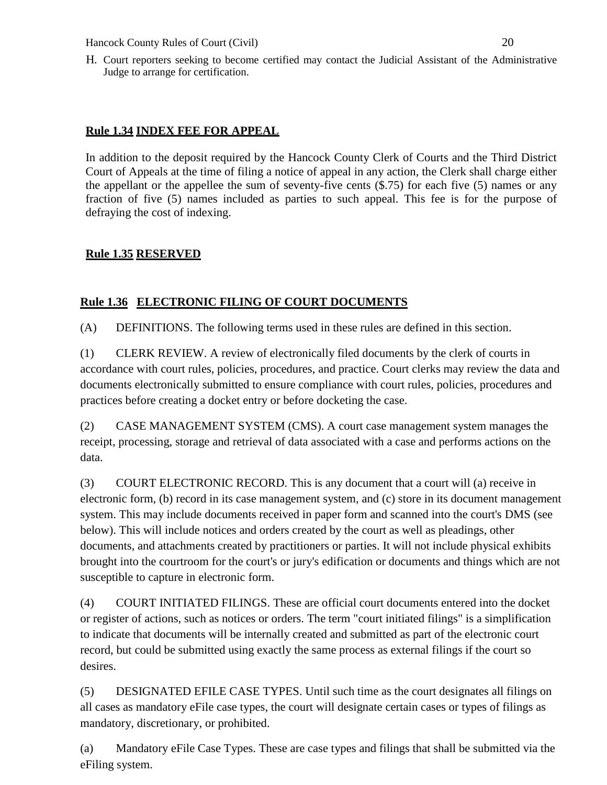H. Court reporters seeking to become certified may contact the Judicial Assistant of the Administrative Judge to arrange for certification.

### **Rule 1.34 INDEX FEE FOR APPEAL**

In addition to the deposit required by the Hancock County Clerk of Courts and the Third District Court of Appeals at the time of filing a notice of appeal in any action, the Clerk shall charge either the appellant or the appellee the sum of seventy-five cents (\$.75) for each five (5) names or any fraction of five (5) names included as parties to such appeal. This fee is for the purpose of defraying the cost of indexing.

### **Rule 1.35 RESERVED**

## **Rule 1.36 ELECTRONIC FILING OF COURT DOCUMENTS**

(A) DEFINITIONS. The following terms used in these rules are defined in this section.

(1) CLERK REVIEW. A review of electronically filed documents by the clerk of courts in accordance with court rules, policies, procedures, and practice. Court clerks may review the data and documents electronically submitted to ensure compliance with court rules, policies, procedures and practices before creating a docket entry or before docketing the case.

(2) CASE MANAGEMENT SYSTEM (CMS). A court case management system manages the receipt, processing, storage and retrieval of data associated with a case and performs actions on the data.

(3) COURT ELECTRONIC RECORD. This is any document that a court will (a) receive in electronic form, (b) record in its case management system, and (c) store in its document management system. This may include documents received in paper form and scanned into the court's DMS (see below). This will include notices and orders created by the court as well as pleadings, other documents, and attachments created by practitioners or parties. It will not include physical exhibits brought into the courtroom for the court's or jury's edification or documents and things which are not susceptible to capture in electronic form.

(4) COURT INITIATED FILINGS. These are official court documents entered into the docket or register of actions, such as notices or orders. The term "court initiated filings" is a simplification to indicate that documents will be internally created and submitted as part of the electronic court record, but could be submitted using exactly the same process as external filings if the court so desires.

(5) DESIGNATED EFILE CASE TYPES. Until such time as the court designates all filings on all cases as mandatory eFile case types, the court will designate certain cases or types of filings as mandatory, discretionary, or prohibited.

(a) Mandatory eFile Case Types. These are case types and filings that shall be submitted via the eFiling system.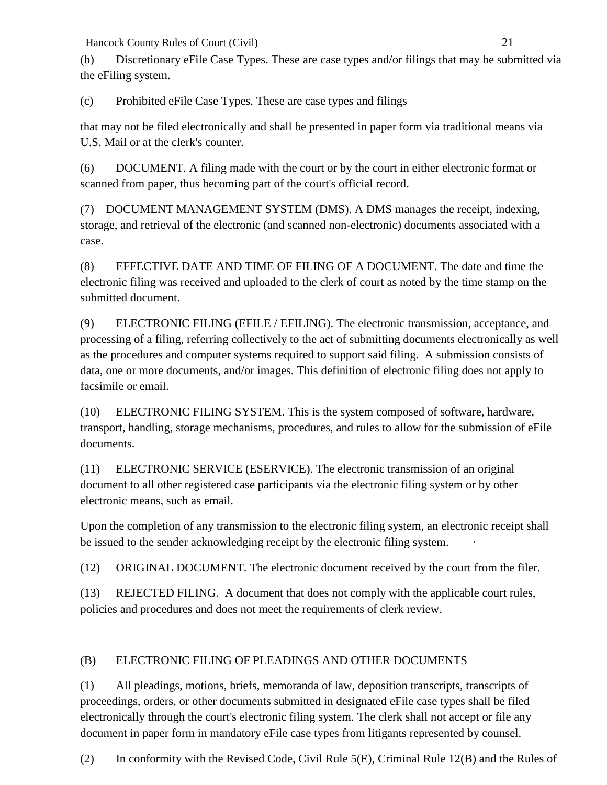(b) Discretionary eFile Case Types. These are case types and/or filings that may be submitted via the eFiling system.

(c) Prohibited eFile Case Types. These are case types and filings

that may not be filed electronically and shall be presented in paper form via traditional means via U.S. Mail or at the clerk's counter.

(6) DOCUMENT. A filing made with the court or by the court in either electronic format or scanned from paper, thus becoming part of the court's official record.

(7) DOCUMENT MANAGEMENT SYSTEM (DMS). A DMS manages the receipt, indexing, storage, and retrieval of the electronic (and scanned non-electronic) documents associated with a case.

(8) EFFECTIVE DATE AND TIME OF FILING OF A DOCUMENT. The date and time the electronic filing was received and uploaded to the clerk of court as noted by the time stamp on the submitted document.

(9) ELECTRONIC FILING (EFILE / EFILING). The electronic transmission, acceptance, and processing of a filing, referring collectively to the act of submitting documents electronically as well as the procedures and computer systems required to support said filing. A submission consists of data, one or more documents, and/or images. This definition of electronic filing does not apply to facsimile or email.

(10) ELECTRONIC FILING SYSTEM. This is the system composed of software, hardware, transport, handling, storage mechanisms, procedures, and rules to allow for the submission of eFile documents.

(11) ELECTRONIC SERVICE (ESERVICE). The electronic transmission of an original document to all other registered case participants via the electronic filing system or by other electronic means, such as email.

Upon the completion of any transmission to the electronic filing system, an electronic receipt shall be issued to the sender acknowledging receipt by the electronic filing system.

(12) ORIGINAL DOCUMENT. The electronic document received by the court from the filer.

(13) REJECTED FILING. A document that does not comply with the applicable court rules, policies and procedures and does not meet the requirements of clerk review.

# (B) ELECTRONIC FILING OF PLEADINGS AND OTHER DOCUMENTS

(1) All pleadings, motions, briefs, memoranda of law, deposition transcripts, transcripts of proceedings, orders, or other documents submitted in designated eFile case types shall be filed electronically through the court's electronic filing system. The clerk shall not accept or file any document in paper form in mandatory eFile case types from litigants represented by counsel.

(2) In conformity with the Revised Code, Civil Rule 5(E), Criminal Rule 12(B) and the Rules of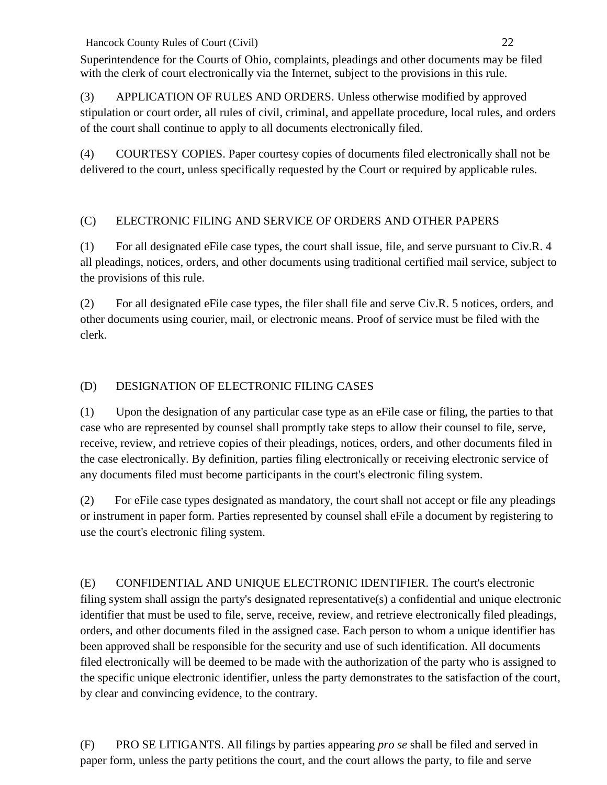Superintendence for the Courts of Ohio, complaints, pleadings and other documents may be filed with the clerk of court electronically via the Internet, subject to the provisions in this rule.

(3) APPLICATION OF RULES AND ORDERS. Unless otherwise modified by approved stipulation or court order, all rules of civil, criminal, and appellate procedure, local rules, and orders of the court shall continue to apply to all documents electronically filed.

(4) COURTESY COPIES. Paper courtesy copies of documents filed electronically shall not be delivered to the court, unless specifically requested by the Court or required by applicable rules.

# (C) ELECTRONIC FILING AND SERVICE OF ORDERS AND OTHER PAPERS

(1) For all designated eFile case types, the court shall issue, file, and serve pursuant to Civ.R. 4 all pleadings, notices, orders, and other documents using traditional certified mail service, subject to the provisions of this rule.

(2) For all designated eFile case types, the filer shall file and serve Civ.R. 5 notices, orders, and other documents using courier, mail, or electronic means. Proof of service must be filed with the clerk.

# (D) DESIGNATION OF ELECTRONIC FILING CASES

(1) Upon the designation of any particular case type as an eFile case or filing, the parties to that case who are represented by counsel shall promptly take steps to allow their counsel to file, serve, receive, review, and retrieve copies of their pleadings, notices, orders, and other documents filed in the case electronically. By definition, parties filing electronically or receiving electronic service of any documents filed must become participants in the court's electronic filing system.

(2) For eFile case types designated as mandatory, the court shall not accept or file any pleadings or instrument in paper form. Parties represented by counsel shall eFile a document by registering to use the court's electronic filing system.

(E) CONFIDENTIAL AND UNIQUE ELECTRONIC IDENTIFIER. The court's electronic filing system shall assign the party's designated representative(s) a confidential and unique electronic identifier that must be used to file, serve, receive, review, and retrieve electronically filed pleadings, orders, and other documents filed in the assigned case. Each person to whom a unique identifier has been approved shall be responsible for the security and use of such identification. All documents filed electronically will be deemed to be made with the authorization of the party who is assigned to the specific unique electronic identifier, unless the party demonstrates to the satisfaction of the court, by clear and convincing evidence, to the contrary.

(F) PRO SE LITIGANTS. All filings by parties appearing *pro se* shall be filed and served in paper form, unless the party petitions the court, and the court allows the party, to file and serve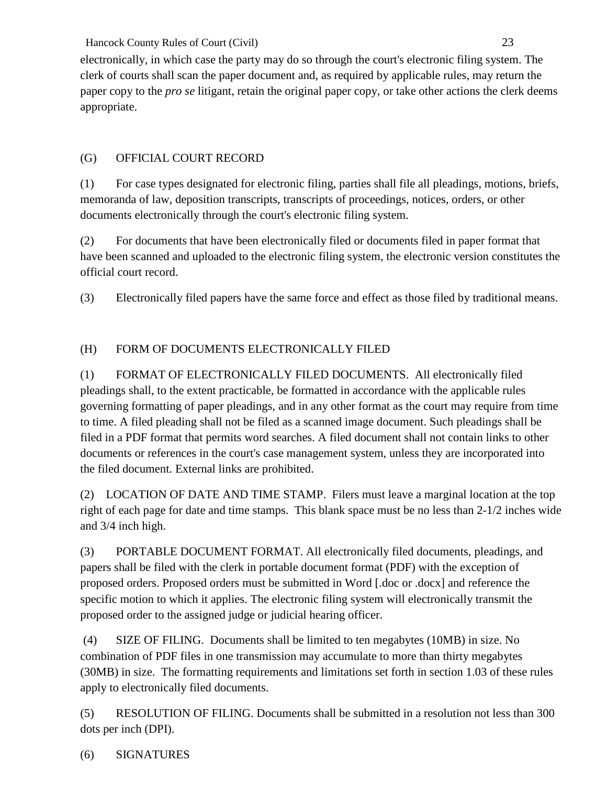electronically, in which case the party may do so through the court's electronic filing system. The clerk of courts shall scan the paper document and, as required by applicable rules, may return the paper copy to the *pro se* litigant, retain the original paper copy, or take other actions the clerk deems appropriate.

# (G) OFFICIAL COURT RECORD

(1) For case types designated for electronic filing, parties shall file all pleadings, motions, briefs, memoranda of law, deposition transcripts, transcripts of proceedings, notices, orders, or other documents electronically through the court's electronic filing system.

(2) For documents that have been electronically filed or documents filed in paper format that have been scanned and uploaded to the electronic filing system, the electronic version constitutes the official court record.

(3) Electronically filed papers have the same force and effect as those filed by traditional means.

# (H) FORM OF DOCUMENTS ELECTRONICALLY FILED

(1) FORMAT OF ELECTRONICALLY FILED DOCUMENTS. All electronically filed pleadings shall, to the extent practicable, be formatted in accordance with the applicable rules governing formatting of paper pleadings, and in any other format as the court may require from time to time. A filed pleading shall not be filed as a scanned image document. Such pleadings shall be filed in a PDF format that permits word searches. A filed document shall not contain links to other documents or references in the court's case management system, unless they are incorporated into the filed document. External links are prohibited.

(2) LOCATION OF DATE AND TIME STAMP. Filers must leave a marginal location at the top right of each page for date and time stamps. This blank space must be no less than 2-1/2 inches wide and 3/4 inch high.

(3) PORTABLE DOCUMENT FORMAT. All electronically filed documents, pleadings, and papers shall be filed with the clerk in portable document format (PDF) with the exception of proposed orders. Proposed orders must be submitted in Word [.doc or .docx] and reference the specific motion to which it applies. The electronic filing system will electronically transmit the proposed order to the assigned judge or judicial hearing officer.

(4) SIZE OF FILING. Documents shall be limited to ten megabytes (10MB) in size. No combination of PDF files in one transmission may accumulate to more than thirty megabytes (30MB) in size. The formatting requirements and limitations set forth in section 1.03 of these rules apply to electronically filed documents.

(5) RESOLUTION OF FILING. Documents shall be submitted in a resolution not less than 300 dots per inch (DPI).

(6) SIGNATURES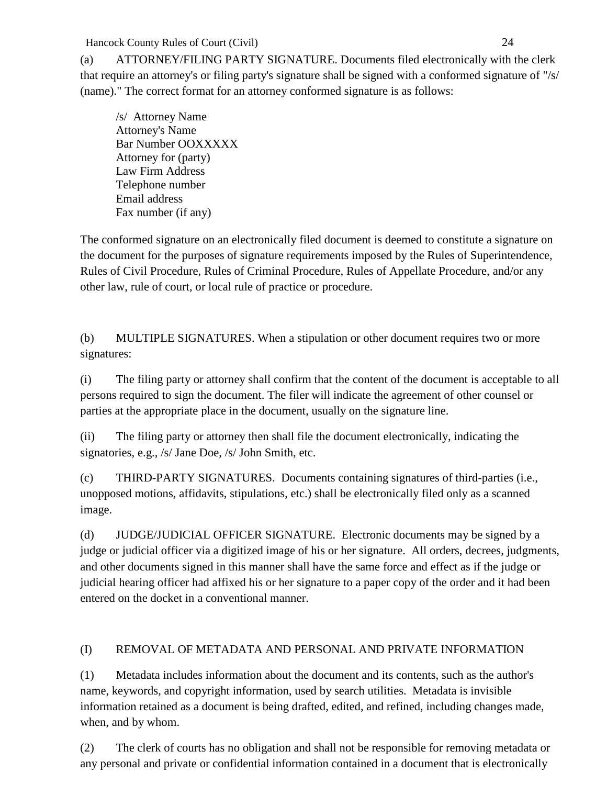(a) ATTORNEY/FILING PARTY SIGNATURE. Documents filed electronically with the clerk that require an attorney's or filing party's signature shall be signed with a conformed signature of "/s/ (name)." The correct format for an attorney conformed signature is as follows:

/s/ Attorney Name Attorney's Name Bar Number OOXXXXX Attorney for (party) Law Firm Address Telephone number Email address Fax number (if any)

The conformed signature on an electronically filed document is deemed to constitute a signature on the document for the purposes of signature requirements imposed by the Rules of Superintendence, Rules of Civil Procedure, Rules of Criminal Procedure, Rules of Appellate Procedure, and/or any other law, rule of court, or local rule of practice or procedure.

(b) MULTIPLE SIGNATURES. When a stipulation or other document requires two or more signatures:

(i) The filing party or attorney shall confirm that the content of the document is acceptable to all persons required to sign the document. The filer will indicate the agreement of other counsel or parties at the appropriate place in the document, usually on the signature line.

(ii) The filing party or attorney then shall file the document electronically, indicating the signatories, e.g., /s/ Jane Doe, /s/ John Smith, etc.

(c) THIRD-PARTY SIGNATURES. Documents containing signatures of third-parties (i.e., unopposed motions, affidavits, stipulations, etc.) shall be electronically filed only as a scanned image.

(d) JUDGE/JUDICIAL OFFICER SIGNATURE. Electronic documents may be signed by a judge or judicial officer via a digitized image of his or her signature. All orders, decrees, judgments, and other documents signed in this manner shall have the same force and effect as if the judge or judicial hearing officer had affixed his or her signature to a paper copy of the order and it had been entered on the docket in a conventional manner.

## (I) REMOVAL OF METADATA AND PERSONAL AND PRIVATE INFORMATION

(1) Metadata includes information about the document and its contents, such as the author's name, keywords, and copyright information, used by search utilities. Metadata is invisible information retained as a document is being drafted, edited, and refined, including changes made, when, and by whom.

(2) The clerk of courts has no obligation and shall not be responsible for removing metadata or any personal and private or confidential information contained in a document that is electronically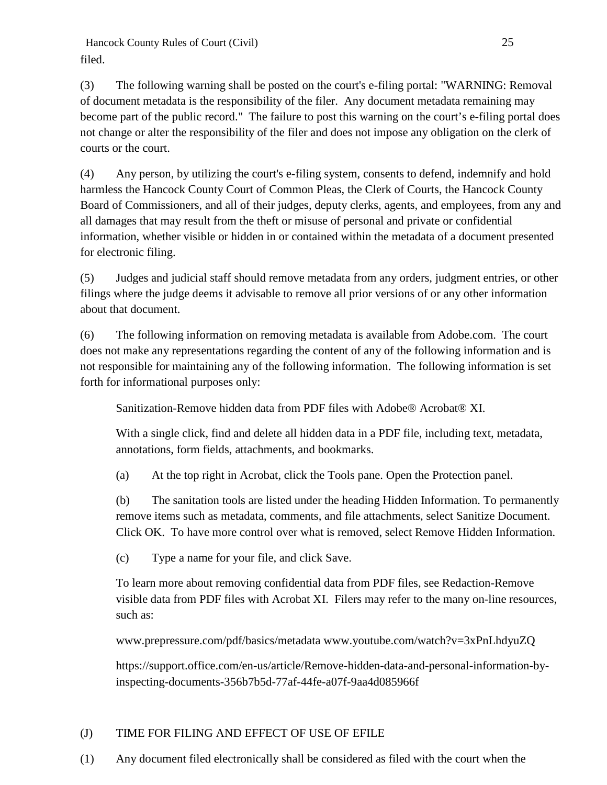Hancock County Rules of Court (Civil) 25 filed.

(3) The following warning shall be posted on the court's e-filing portal: "WARNING: Removal of document metadata is the responsibility of the filer. Any document metadata remaining may become part of the public record." The failure to post this warning on the court's e-filing portal does not change or alter the responsibility of the filer and does not impose any obligation on the clerk of courts or the court.

(4) Any person, by utilizing the court's e-filing system, consents to defend, indemnify and hold harmless the Hancock County Court of Common Pleas, the Clerk of Courts, the Hancock County Board of Commissioners, and all of their judges, deputy clerks, agents, and employees, from any and all damages that may result from the theft or misuse of personal and private or confidential information, whether visible or hidden in or contained within the metadata of a document presented for electronic filing.

(5) Judges and judicial staff should remove metadata from any orders, judgment entries, or other filings where the judge deems it advisable to remove all prior versions of or any other information about that document.

(6) The following information on removing metadata is available from Adobe.com. The court does not make any representations regarding the content of any of the following information and is not responsible for maintaining any of the following information. The following information is set forth for informational purposes only:

Sanitization-Remove hidden data from PDF files with Adobe® Acrobat® XI.

With a single click, find and delete all hidden data in a PDF file, including text, metadata, annotations, form fields, attachments, and bookmarks.

(a) At the top right in Acrobat, click the Tools pane. Open the Protection panel.

(b) The sanitation tools are listed under the heading Hidden Information. To permanently remove items such as metadata, comments, and file attachments, select Sanitize Document. Click OK. To have more control over what is removed, select Remove Hidden Information.

(c) Type a name for your file, and click Save.

To learn more about removing confidential data from PDF files, see Redaction-Remove visible data from PDF files with Acrobat XI. Filers may refer to the many on-line resources, such as:

www.prepressure.com/pdf/basics/metadata www.youtube.com/watch?v=3xPnLhdyuZQ

https://support.office.com/en-us/article/Remove-hidden-data-and-personal-information-byinspecting-documents-356b7b5d-77af-44fe-a07f-9aa4d085966f

# (J) TIME FOR FILING AND EFFECT OF USE OF EFILE

(1) Any document filed electronically shall be considered as filed with the court when the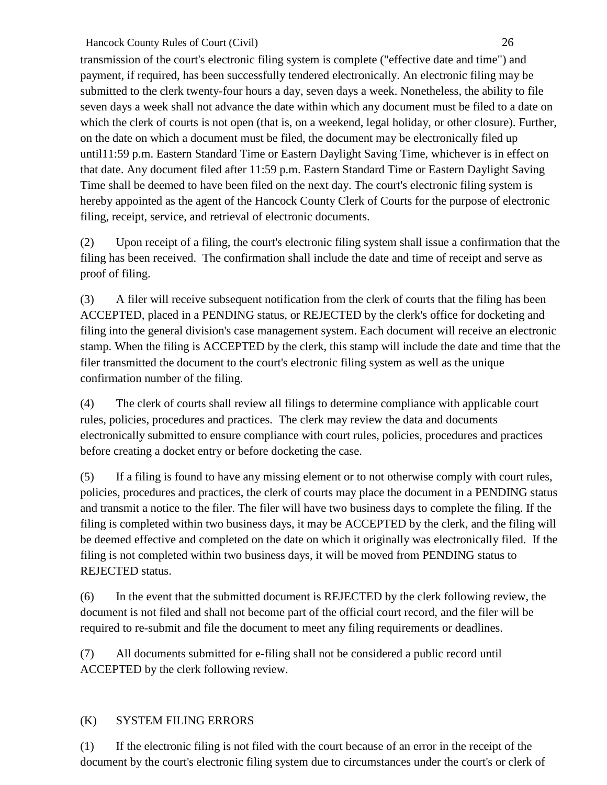transmission of the court's electronic filing system is complete ("effective date and time") and payment, if required, has been successfully tendered electronically. An electronic filing may be submitted to the clerk twenty-four hours a day, seven days a week. Nonetheless, the ability to file seven days a week shall not advance the date within which any document must be filed to a date on which the clerk of courts is not open (that is, on a weekend, legal holiday, or other closure). Further, on the date on which a document must be filed, the document may be electronically filed up until11:59 p.m. Eastern Standard Time or Eastern Daylight Saving Time, whichever is in effect on that date. Any document filed after 11:59 p.m. Eastern Standard Time or Eastern Daylight Saving Time shall be deemed to have been filed on the next day. The court's electronic filing system is hereby appointed as the agent of the Hancock County Clerk of Courts for the purpose of electronic filing, receipt, service, and retrieval of electronic documents.

(2) Upon receipt of a filing, the court's electronic filing system shall issue a confirmation that the filing has been received. The confirmation shall include the date and time of receipt and serve as proof of filing.

(3) A filer will receive subsequent notification from the clerk of courts that the filing has been ACCEPTED, placed in a PENDING status, or REJECTED by the clerk's office for docketing and filing into the general division's case management system. Each document will receive an electronic stamp. When the filing is ACCEPTED by the clerk, this stamp will include the date and time that the filer transmitted the document to the court's electronic filing system as well as the unique confirmation number of the filing.

(4) The clerk of courts shall review all filings to determine compliance with applicable court rules, policies, procedures and practices. The clerk may review the data and documents electronically submitted to ensure compliance with court rules, policies, procedures and practices before creating a docket entry or before docketing the case.

(5) If a filing is found to have any missing element or to not otherwise comply with court rules, policies, procedures and practices, the clerk of courts may place the document in a PENDING status and transmit a notice to the filer. The filer will have two business days to complete the filing. If the filing is completed within two business days, it may be ACCEPTED by the clerk, and the filing will be deemed effective and completed on the date on which it originally was electronically filed. If the filing is not completed within two business days, it will be moved from PENDING status to REJECTED status.

(6) In the event that the submitted document is REJECTED by the clerk following review, the document is not filed and shall not become part of the official court record, and the filer will be required to re-submit and file the document to meet any filing requirements or deadlines.

(7) All documents submitted for e-filing shall not be considered a public record until ACCEPTED by the clerk following review.

## (K) SYSTEM FILING ERRORS

(1) If the electronic filing is not filed with the court because of an error in the receipt of the document by the court's electronic filing system due to circumstances under the court's or clerk of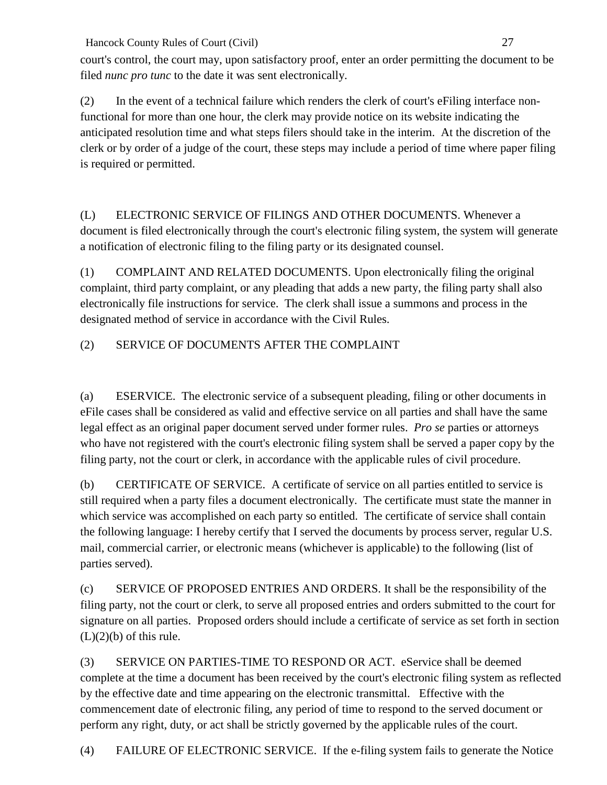court's control, the court may, upon satisfactory proof, enter an order permitting the document to be filed *nunc pro tunc* to the date it was sent electronically.

(2) In the event of a technical failure which renders the clerk of court's eFiling interface nonfunctional for more than one hour, the clerk may provide notice on its website indicating the anticipated resolution time and what steps filers should take in the interim. At the discretion of the clerk or by order of a judge of the court, these steps may include a period of time where paper filing is required or permitted.

(L) ELECTRONIC SERVICE OF FILINGS AND OTHER DOCUMENTS. Whenever a document is filed electronically through the court's electronic filing system, the system will generate a notification of electronic filing to the filing party or its designated counsel.

(1) COMPLAINT AND RELATED DOCUMENTS. Upon electronically filing the original complaint, third party complaint, or any pleading that adds a new party, the filing party shall also electronically file instructions for service. The clerk shall issue a summons and process in the designated method of service in accordance with the Civil Rules.

# (2) SERVICE OF DOCUMENTS AFTER THE COMPLAINT

(a) ESERVICE. The electronic service of a subsequent pleading, filing or other documents in eFile cases shall be considered as valid and effective service on all parties and shall have the same legal effect as an original paper document served under former rules. *Pro se* parties or attorneys who have not registered with the court's electronic filing system shall be served a paper copy by the filing party, not the court or clerk, in accordance with the applicable rules of civil procedure.

(b) CERTIFICATE OF SERVICE. A certificate of service on all parties entitled to service is still required when a party files a document electronically. The certificate must state the manner in which service was accomplished on each party so entitled. The certificate of service shall contain the following language: I hereby certify that I served the documents by process server, regular U.S. mail, commercial carrier, or electronic means (whichever is applicable) to the following (list of parties served).

(c) SERVICE OF PROPOSED ENTRIES AND ORDERS. It shall be the responsibility of the filing party, not the court or clerk, to serve all proposed entries and orders submitted to the court for signature on all parties. Proposed orders should include a certificate of service as set forth in section  $(L)(2)(b)$  of this rule.

(3) SERVICE ON PARTIES-TIME TO RESPOND OR ACT. eService shall be deemed complete at the time a document has been received by the court's electronic filing system as reflected by the effective date and time appearing on the electronic transmittal. Effective with the commencement date of electronic filing, any period of time to respond to the served document or perform any right, duty, or act shall be strictly governed by the applicable rules of the court.

(4) FAILURE OF ELECTRONIC SERVICE. If the e-filing system fails to generate the Notice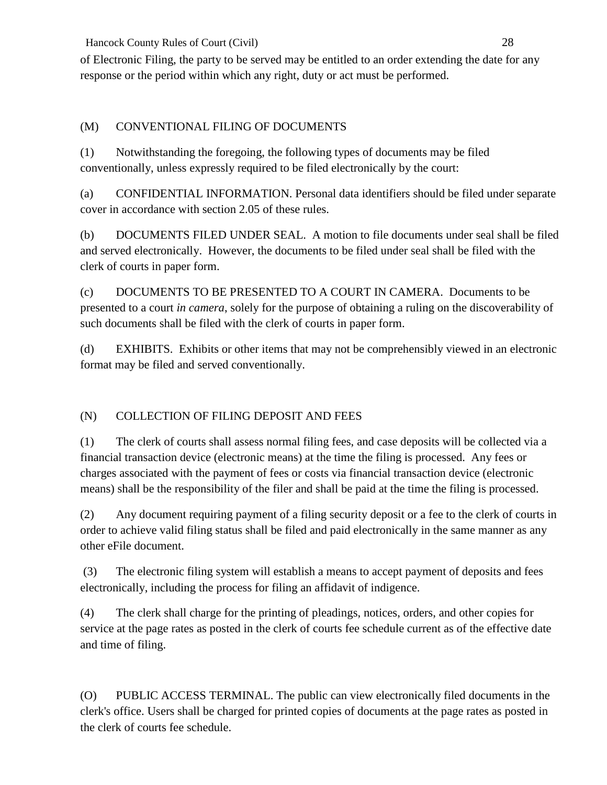of Electronic Filing, the party to be served may be entitled to an order extending the date for any response or the period within which any right, duty or act must be performed.

# (M) CONVENTIONAL FILING OF DOCUMENTS

(1) Notwithstanding the foregoing, the following types of documents may be filed conventionally, unless expressly required to be filed electronically by the court:

(a) CONFIDENTIAL INFORMATION. Personal data identifiers should be filed under separate cover in accordance with section 2.05 of these rules.

(b) DOCUMENTS FILED UNDER SEAL. A motion to file documents under seal shall be filed and served electronically. However, the documents to be filed under seal shall be filed with the clerk of courts in paper form.

(c) DOCUMENTS TO BE PRESENTED TO A COURT IN CAMERA. Documents to be presented to a court *in camera*, solely for the purpose of obtaining a ruling on the discoverability of such documents shall be filed with the clerk of courts in paper form.

(d) EXHIBITS. Exhibits or other items that may not be comprehensibly viewed in an electronic format may be filed and served conventionally.

# (N) COLLECTION OF FILING DEPOSIT AND FEES

(1) The clerk of courts shall assess normal filing fees, and case deposits will be collected via a financial transaction device (electronic means) at the time the filing is processed. Any fees or charges associated with the payment of fees or costs via financial transaction device (electronic means) shall be the responsibility of the filer and shall be paid at the time the filing is processed.

(2) Any document requiring payment of a filing security deposit or a fee to the clerk of courts in order to achieve valid filing status shall be filed and paid electronically in the same manner as any other eFile document.

(3) The electronic filing system will establish a means to accept payment of deposits and fees electronically, including the process for filing an affidavit of indigence.

(4) The clerk shall charge for the printing of pleadings, notices, orders, and other copies for service at the page rates as posted in the clerk of courts fee schedule current as of the effective date and time of filing.

(O) PUBLIC ACCESS TERMINAL. The public can view electronically filed documents in the clerk's office. Users shall be charged for printed copies of documents at the page rates as posted in the clerk of courts fee schedule.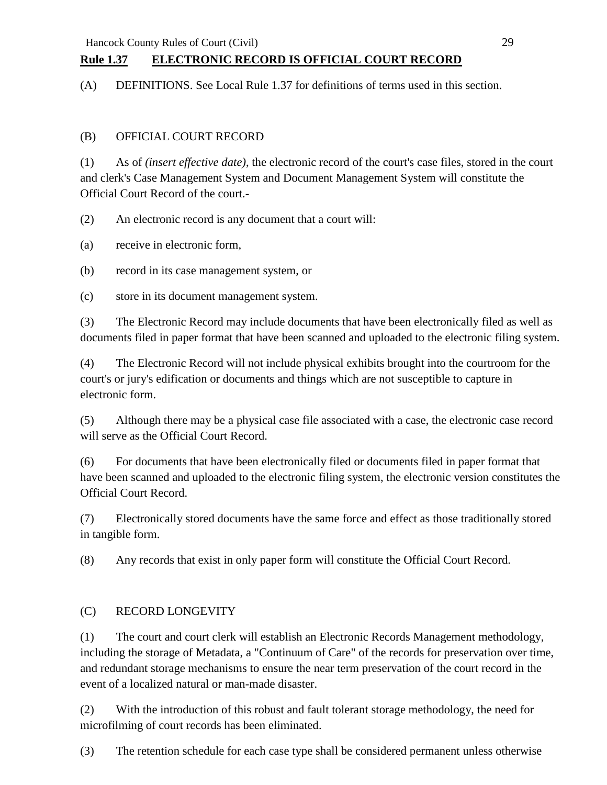# **Rule 1.37 ELECTRONIC RECORD IS OFFICIAL COURT RECORD**

(A) DEFINITIONS. See Local Rule 1.37 for definitions of terms used in this section.

## (B) OFFICIAL COURT RECORD

(1) As of *(insert effective date)*, the electronic record of the court's case files, stored in the court and clerk's Case Management System and Document Management System will constitute the Official Court Record of the court.-

(2) An electronic record is any document that a court will:

(a) receive in electronic form,

(b) record in its case management system, or

(c) store in its document management system.

(3) The Electronic Record may include documents that have been electronically filed as well as documents filed in paper format that have been scanned and uploaded to the electronic filing system.

(4) The Electronic Record will not include physical exhibits brought into the courtroom for the court's or jury's edification or documents and things which are not susceptible to capture in electronic form.

(5) Although there may be a physical case file associated with a case, the electronic case record will serve as the Official Court Record.

(6) For documents that have been electronically filed or documents filed in paper format that have been scanned and uploaded to the electronic filing system, the electronic version constitutes the Official Court Record.

(7) Electronically stored documents have the same force and effect as those traditionally stored in tangible form.

(8) Any records that exist in only paper form will constitute the Official Court Record.

## (C) RECORD LONGEVITY

(1) The court and court clerk will establish an Electronic Records Management methodology, including the storage of Metadata, a "Continuum of Care" of the records for preservation over time, and redundant storage mechanisms to ensure the near term preservation of the court record in the event of a localized natural or man-made disaster.

(2) With the introduction of this robust and fault tolerant storage methodology, the need for microfilming of court records has been eliminated.

(3) The retention schedule for each case type shall be considered permanent unless otherwise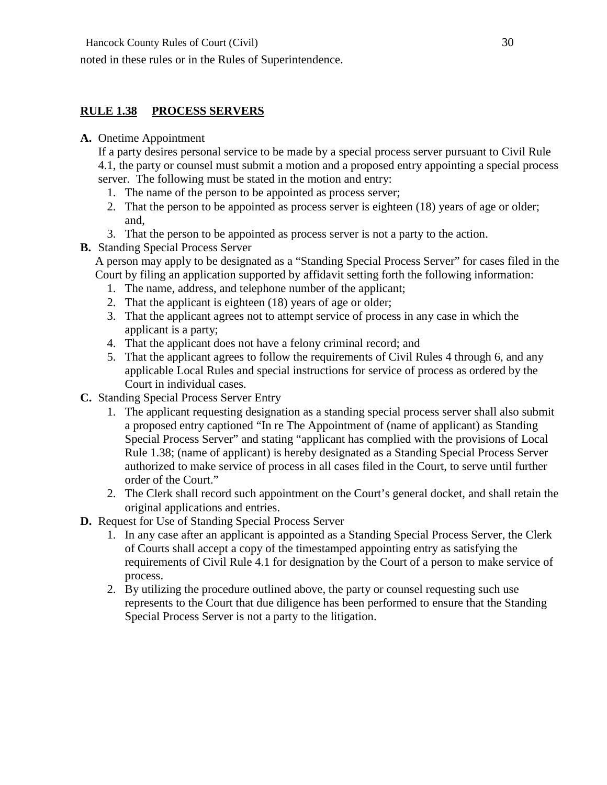noted in these rules or in the Rules of Superintendence.

## **RULE 1.38 PROCESS SERVERS**

#### **A.** Onetime Appointment

If a party desires personal service to be made by a special process server pursuant to Civil Rule 4.1, the party or counsel must submit a motion and a proposed entry appointing a special process server. The following must be stated in the motion and entry:

- 1. The name of the person to be appointed as process server;
- 2. That the person to be appointed as process server is eighteen (18) years of age or older; and,
- 3. That the person to be appointed as process server is not a party to the action.
- **B.** Standing Special Process Server

A person may apply to be designated as a "Standing Special Process Server" for cases filed in the Court by filing an application supported by affidavit setting forth the following information:

- 1. The name, address, and telephone number of the applicant;
- 2. That the applicant is eighteen (18) years of age or older;
- 3. That the applicant agrees not to attempt service of process in any case in which the applicant is a party;
- 4. That the applicant does not have a felony criminal record; and
- 5. That the applicant agrees to follow the requirements of Civil Rules 4 through 6, and any applicable Local Rules and special instructions for service of process as ordered by the Court in individual cases.
- **C.** Standing Special Process Server Entry
	- 1. The applicant requesting designation as a standing special process server shall also submit a proposed entry captioned "In re The Appointment of (name of applicant) as Standing Special Process Server" and stating "applicant has complied with the provisions of Local Rule 1.38; (name of applicant) is hereby designated as a Standing Special Process Server authorized to make service of process in all cases filed in the Court, to serve until further order of the Court."
	- 2. The Clerk shall record such appointment on the Court's general docket, and shall retain the original applications and entries.
- **D.** Request for Use of Standing Special Process Server
	- 1. In any case after an applicant is appointed as a Standing Special Process Server, the Clerk of Courts shall accept a copy of the timestamped appointing entry as satisfying the requirements of Civil Rule 4.1 for designation by the Court of a person to make service of process.
	- 2. By utilizing the procedure outlined above, the party or counsel requesting such use represents to the Court that due diligence has been performed to ensure that the Standing Special Process Server is not a party to the litigation.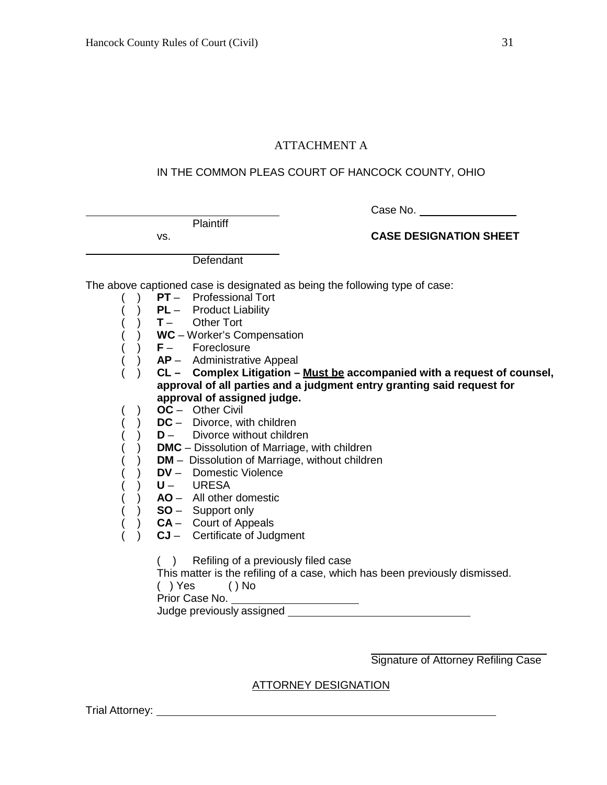### ATTACHMENT A

#### IN THE COMMON PLEAS COURT OF HANCOCK COUNTY, OHIO

**Plaintiff** 

Case No.

vs. **CASE DESIGNATION SHEET**

**Defendant** 

The above captioned case is designated as being the following type of case:

- ( ) **PT** Professional Tort
	- ( ) **PL**  Product Liability
- ( ) **T** Other Tort
	- ( ) **WC**  Worker's Compensation
- ( ) **F**  Foreclosure
- ( ) **AP** Administrative Appeal
- ( ) **CL – Complex Litigation – Must be accompanied with a request of counsel, approval of all parties and a judgment entry granting said request for approval of assigned judge.**
- ( ) **OC**  Other Civil
	- DC Divorce, with children
	- ( ) **D**  Divorce without children
- ( ) **DMC**  Dissolution of Marriage, with children
- ( ) **DM**  Dissolution of Marriage, without children
- ( ) **DV** Domestic Violence
- ( ) **U**  URESA
	- $\overrightarrow{A}$  **AO** All other domestic
- ( ) **SO** Support only
- ( ) **CA** Court of Appeals
- ( ) **CJ**  Certificate of Judgment
	- ( ) Refiling of a previously filed case

This matter is the refiling of a case, which has been previously dismissed.

- ( ) Yes ( ) No
- Prior Case No.

Judge previously assigned

Signature of Attorney Refiling Case

### ATTORNEY DESIGNATION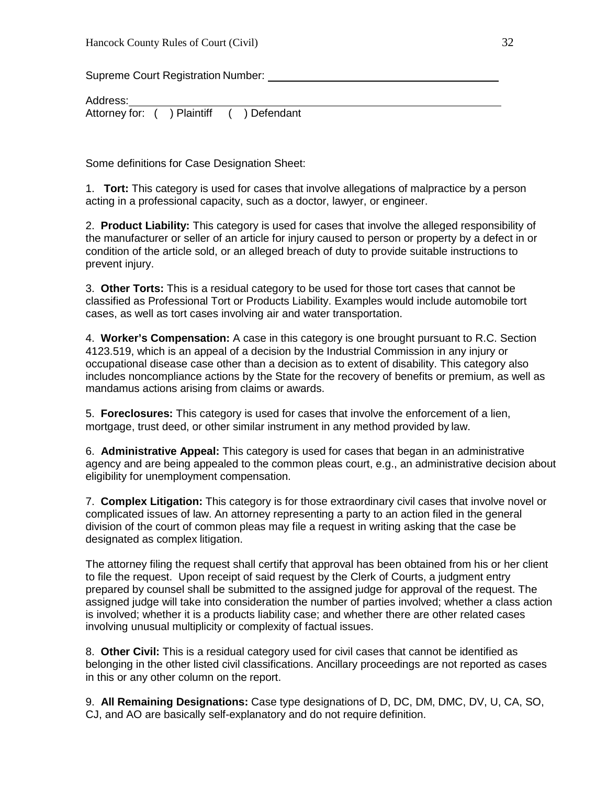Supreme Court Registration Number:

Address: Attorney for: ( ) Plaintiff ( ) Defendant

Some definitions for Case Designation Sheet:

1. **Tort:** This category is used for cases that involve allegations of malpractice by a person acting in a professional capacity, such as a doctor, lawyer, or engineer.

2. **Product Liability:** This category is used for cases that involve the alleged responsibility of the manufacturer or seller of an article for injury caused to person or property by a defect in or condition of the article sold, or an alleged breach of duty to provide suitable instructions to prevent injury.

3. **Other Torts:** This is a residual category to be used for those tort cases that cannot be classified as Professional Tort or Products Liability. Examples would include automobile tort cases, as well as tort cases involving air and water transportation.

4. **Worker's Compensation:** A case in this category is one brought pursuant to R.C. Section 4123.519, which is an appeal of a decision by the Industrial Commission in any injury or occupational disease case other than a decision as to extent of disability. This category also includes noncompliance actions by the State for the recovery of benefits or premium, as well as mandamus actions arising from claims or awards.

5. **Foreclosures:** This category is used for cases that involve the enforcement of a lien, mortgage, trust deed, or other similar instrument in any method provided by law.

6. **Administrative Appeal:** This category is used for cases that began in an administrative agency and are being appealed to the common pleas court, e.g., an administrative decision about eligibility for unemployment compensation.

7. **Complex Litigation:** This category is for those extraordinary civil cases that involve novel or complicated issues of law. An attorney representing a party to an action filed in the general division of the court of common pleas may file a request in writing asking that the case be designated as complex litigation.

The attorney filing the request shall certify that approval has been obtained from his or her client to file the request. Upon receipt of said request by the Clerk of Courts, a judgment entry prepared by counsel shall be submitted to the assigned judge for approval of the request. The assigned judge will take into consideration the number of parties involved; whether a class action is involved; whether it is a products liability case; and whether there are other related cases involving unusual multiplicity or complexity of factual issues.

8. **Other Civil:** This is a residual category used for civil cases that cannot be identified as belonging in the other listed civil classifications. Ancillary proceedings are not reported as cases in this or any other column on the report.

9. **All Remaining Designations:** Case type designations of D, DC, DM, DMC, DV, U, CA, SO, CJ, and AO are basically self-explanatory and do not require definition.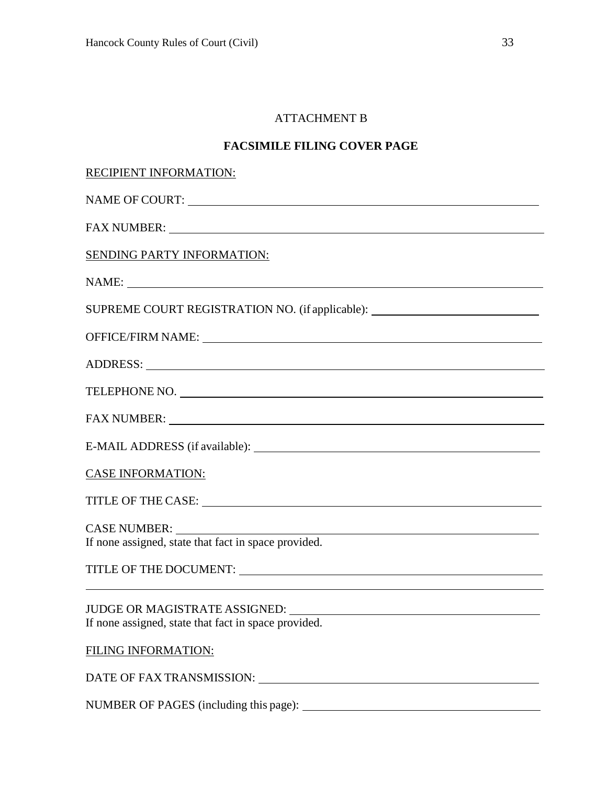## ATTACHMENT B

## **FACSIMILE FILING COVER PAGE**

| RECIPIENT INFORMATION:                                                                                                                                                                                                                                                                 |  |  |
|----------------------------------------------------------------------------------------------------------------------------------------------------------------------------------------------------------------------------------------------------------------------------------------|--|--|
|                                                                                                                                                                                                                                                                                        |  |  |
|                                                                                                                                                                                                                                                                                        |  |  |
| <b>SENDING PARTY INFORMATION:</b>                                                                                                                                                                                                                                                      |  |  |
|                                                                                                                                                                                                                                                                                        |  |  |
| SUPREME COURT REGISTRATION NO. (if applicable): ________________________________                                                                                                                                                                                                       |  |  |
|                                                                                                                                                                                                                                                                                        |  |  |
| ADDRESS: Latin and the contract of the contract of the contract of the contract of the contract of the contract of the contract of the contract of the contract of the contract of the contract of the contract of the contrac                                                         |  |  |
| TELEPHONE NO.                                                                                                                                                                                                                                                                          |  |  |
|                                                                                                                                                                                                                                                                                        |  |  |
|                                                                                                                                                                                                                                                                                        |  |  |
| <b>CASE INFORMATION:</b>                                                                                                                                                                                                                                                               |  |  |
|                                                                                                                                                                                                                                                                                        |  |  |
| If none assigned, state that fact in space provided.                                                                                                                                                                                                                                   |  |  |
| TITLE OF THE DOCUMENT: LETTER AND THE RESERVE THE RESERVE THE RESERVE THE RESERVE THE RESERVE THE RESERVE THE RESERVE THE RESERVE THE RESERVE THE RESERVE THE RESERVE THAT A LIMITED ASSESS THAT A LIMITED ASSESS THAT A LIMIT                                                         |  |  |
| JUDGE OR MAGISTRATE ASSIGNED: University of the set of the set of the set of the set of the set of the set of the set of the set of the set of the set of the set of the set of the set of the set of the set of the set of th<br>If none assigned, state that fact in space provided. |  |  |
| <b>FILING INFORMATION:</b>                                                                                                                                                                                                                                                             |  |  |
|                                                                                                                                                                                                                                                                                        |  |  |
|                                                                                                                                                                                                                                                                                        |  |  |